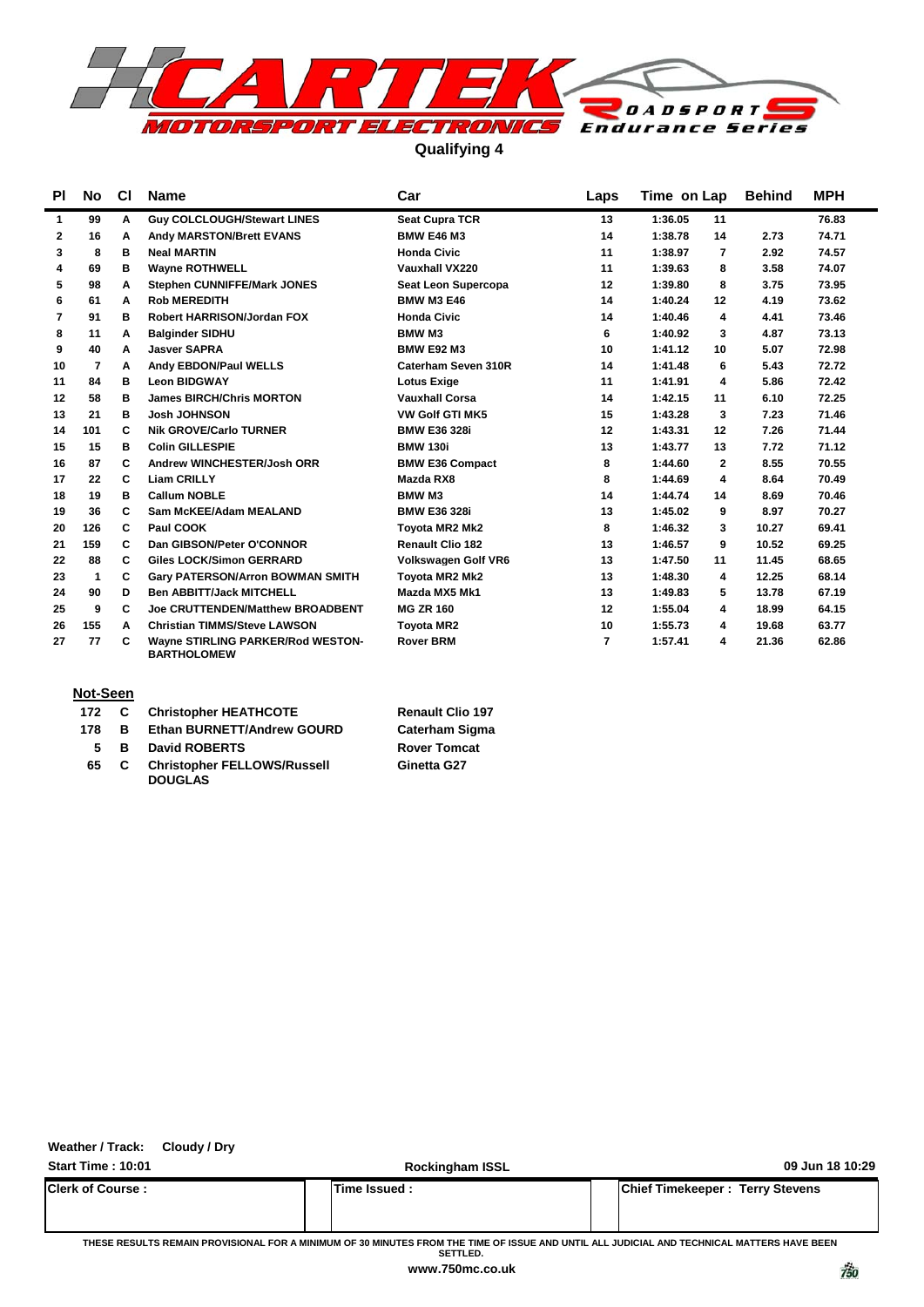

**Qualifying 4**

| ΡI           | No          | <b>CI</b> | Name                                                    | Car                        | Laps | Time on Lap             | <b>Behind</b> | <b>MPH</b> |
|--------------|-------------|-----------|---------------------------------------------------------|----------------------------|------|-------------------------|---------------|------------|
| 1            | 99          | A         | <b>Guy COLCLOUGH/Stewart LINES</b>                      | <b>Seat Cupra TCR</b>      | 13   | 1:36.05<br>11           |               | 76.83      |
| $\mathbf{2}$ | 16          | Α         | <b>Andy MARSTON/Brett EVANS</b>                         | <b>BMW E46 M3</b>          | 14   | 1:38.78<br>14           | 2.73          | 74.71      |
| 3            | 8           | в         | <b>Neal MARTIN</b>                                      | <b>Honda Civic</b>         | 11   | 1:38.97<br>7            | 2.92          | 74.57      |
| 4            | 69          | в         | <b>Wayne ROTHWELL</b>                                   | Vauxhall VX220             | 11   | 1:39.63<br>8            | 3.58          | 74.07      |
| 5            | 98          | A         | Stephen CUNNIFFE/Mark JONES                             | Seat Leon Supercopa        | 12   | 1:39.80<br>8            | 3.75          | 73.95      |
| 6            | 61          | А         | <b>Rob MEREDITH</b>                                     | <b>BMW M3 E46</b>          | 14   | 1:40.24<br>12           | 4.19          | 73.62      |
| 7            | 91          | в         | <b>Robert HARRISON/Jordan FOX</b>                       | <b>Honda Civic</b>         | 14   | 1:40.46<br>4            | 4.41          | 73.46      |
| 8            | 11          | Α         | <b>Balginder SIDHU</b>                                  | <b>BMW M3</b>              | 6    | 1:40.92<br>3            | 4.87          | 73.13      |
| 9            | 40          | A         | <b>Jasver SAPRA</b>                                     | <b>BMW E92 M3</b>          | 10   | 1:41.12<br>10           | 5.07          | 72.98      |
| 10           | 7           | Α         | Andy EBDON/Paul WELLS                                   | Caterham Seven 310R        | 14   | 1:41.48<br>6            | 5.43          | 72.72      |
| 11           | 84          | в         | <b>Leon BIDGWAY</b>                                     | <b>Lotus Exige</b>         | 11   | 1:41.91<br>4            | 5.86          | 72.42      |
| 12           | 58          | в         | <b>James BIRCH/Chris MORTON</b>                         | <b>Vauxhall Corsa</b>      | 14   | 1:42.15<br>11           | 6.10          | 72.25      |
| 13           | 21          | в         | <b>Josh JOHNSON</b>                                     | <b>VW Golf GTI MK5</b>     | 15   | 1:43.28<br>3            | 7.23          | 71.46      |
| 14           | 101         | C         | <b>Nik GROVE/Carlo TURNER</b>                           | <b>BMW E36 328i</b>        | 12   | 1:43.31<br>12           | 7.26          | 71.44      |
| 15           | 15          | в         | <b>Colin GILLESPIE</b>                                  | <b>BMW 130i</b>            | 13   | 1:43.77<br>13           | 7.72          | 71.12      |
| 16           | 87          | C         | Andrew WINCHESTER/Josh ORR                              | <b>BMW E36 Compact</b>     | 8    | 1:44.60<br>$\mathbf{2}$ | 8.55          | 70.55      |
| 17           | 22          | C         | <b>Liam CRILLY</b>                                      | Mazda RX8                  | 8    | 1:44.69<br>4            | 8.64          | 70.49      |
| 18           | 19          | в         | <b>Callum NOBLE</b>                                     | <b>BMW M3</b>              | 14   | 1:44.74<br>14           | 8.69          | 70.46      |
| 19           | 36          | C         | Sam McKEE/Adam MEALAND                                  | <b>BMW E36 328i</b>        | 13   | 1:45.02<br>9            | 8.97          | 70.27      |
| 20           | 126         | C         | Paul COOK                                               | <b>Tovota MR2 Mk2</b>      | 8    | 1:46.32<br>3            | 10.27         | 69.41      |
| 21           | 159         | C         | Dan GIBSON/Peter O'CONNOR                               | <b>Renault Clio 182</b>    | 13   | 1:46.57<br>9            | 10.52         | 69.25      |
| 22           | 88          | C         | <b>Giles LOCK/Simon GERRARD</b>                         | <b>Volkswagen Golf VR6</b> | 13   | 1:47.50<br>11           | 11.45         | 68.65      |
| 23           | $\mathbf 1$ | C         | <b>Gary PATERSON/Arron BOWMAN SMITH</b>                 | <b>Tovota MR2 Mk2</b>      | 13   | 1:48.30<br>4            | 12.25         | 68.14      |
| 24           | 90          | D         | <b>Ben ABBITT/Jack MITCHELL</b>                         | Mazda MX5 Mk1              | 13   | 1:49.83<br>5            | 13.78         | 67.19      |
| 25           | 9           | C         | <b>Joe CRUTTENDEN/Matthew BROADBENT</b>                 | <b>MG ZR 160</b>           | 12   | 1:55.04<br>4            | 18.99         | 64.15      |
| 26           | 155         | A         | <b>Christian TIMMS/Steve LAWSON</b>                     | <b>Toyota MR2</b>          | 10   | 1:55.73<br>4            | 19.68         | 63.77      |
| 27           | 77          | C         | Wayne STIRLING PARKER/Rod WESTON-<br><b>BARTHOLOMEW</b> | <b>Rover BRM</b>           | 7    | 1:57.41<br>4            | 21.36         | 62.86      |

### **Not-Seen**

|     |    | 172 C Christopher HEATHCOTE                          | <b>Renault Clio 197</b> |
|-----|----|------------------------------------------------------|-------------------------|
| 178 | B. | <b>Ethan BURNETT/Andrew GOURD</b>                    | <b>Caterham Sigma</b>   |
| 5.  | В. | <b>David ROBERTS</b>                                 | <b>Rover Tomcat</b>     |
| 65. | C. | <b>Christopher FELLOWS/Russell</b><br><b>DOUGLAS</b> | Ginetta G27             |

### **Weather / Track: Cloudy / Dry**

| <b>Start Time: 10:01</b> | <b>Rockingham ISSL</b> | 09 Jun 18 10:29                 |
|--------------------------|------------------------|---------------------------------|
| <b>Clerk of Course :</b> | lTime Issued :         | Chief Timekeeper: Terry Stevens |

**THESE RESULTS REMAIN PROVISIONAL FOR A MINIMUM OF 30 MINUTES FROM THE TIME OF ISSUE AND UNTIL ALL JUDICIAL AND TECHNICAL MATTERS HAVE BEEN SETTLED.**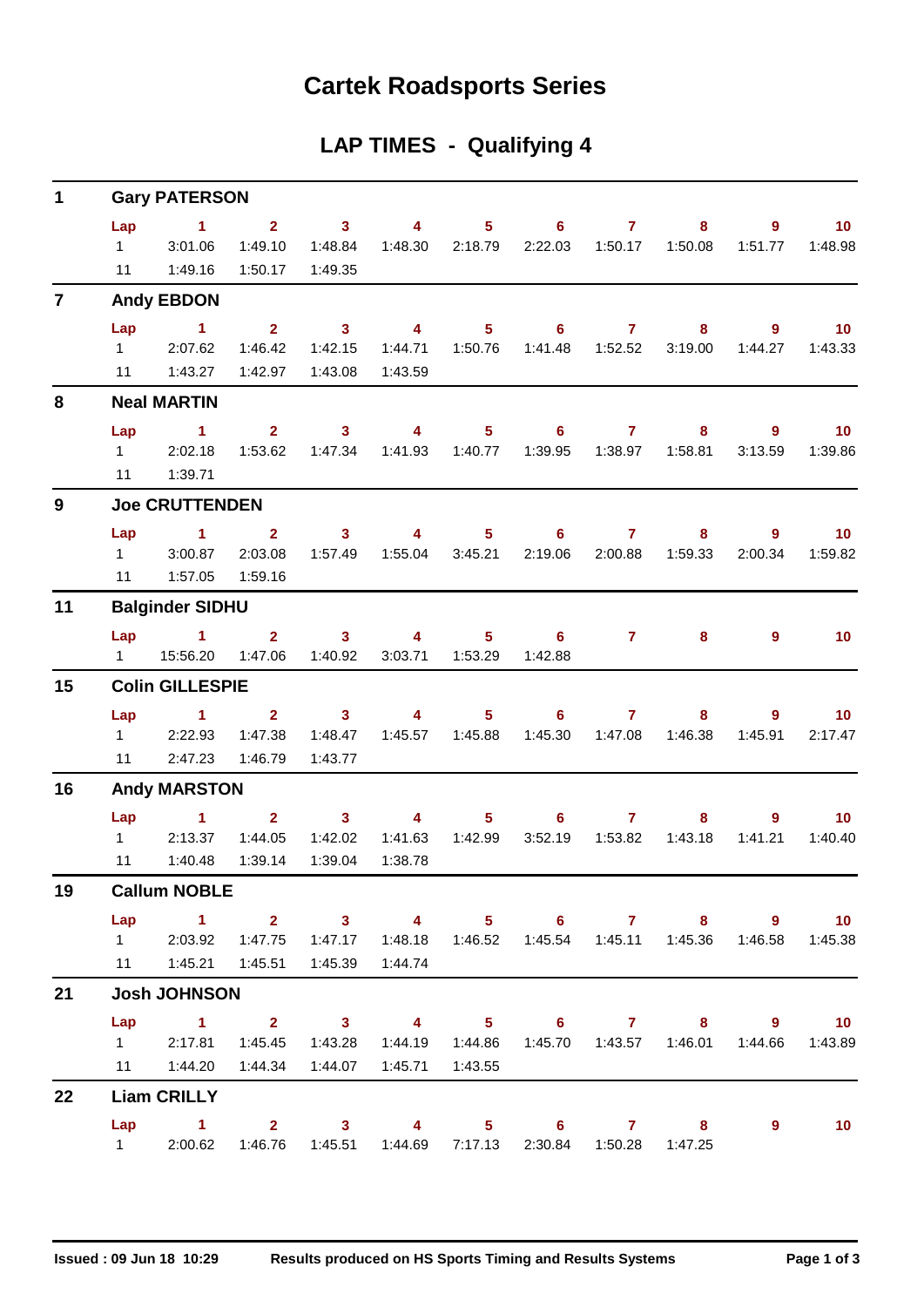## **Cartek Roadsports Series**

## **LAP TIMES - Qualifying 4**

| 1              |                        | <b>Gary PATERSON</b>                                                              |                         |                         |                           |                |                                                                 |                |         |                |                 |
|----------------|------------------------|-----------------------------------------------------------------------------------|-------------------------|-------------------------|---------------------------|----------------|-----------------------------------------------------------------|----------------|---------|----------------|-----------------|
|                | Lap                    | $\sim$ 1                                                                          | $\overline{\mathbf{2}}$ | $\overline{\mathbf{3}}$ | $\sim$ 4                  | 5 <sub>1</sub> | 6                                                               | $\mathbf{7}$   | 8       | 9              | 10              |
|                | $1 \quad$              | 3:01.06                                                                           | 1:49.10                 | 1:48.84                 | 1:48.30                   | 2:18.79        | 2:22.03                                                         | 1:50.17        | 1:50.08 | 1:51.77        | 1:48.98         |
|                | 11                     | 1:49.16                                                                           | 1:50.17                 | 1:49.35                 |                           |                |                                                                 |                |         |                |                 |
| $\overline{7}$ |                        | <b>Andy EBDON</b>                                                                 |                         |                         |                           |                |                                                                 |                |         |                |                 |
|                | Lap                    | $\blacktriangleleft$                                                              | 2 <sup>7</sup>          | $\overline{\mathbf{3}}$ | $\overline{\phantom{a}}$  | 5 <sup>1</sup> | $6^{\circ}$                                                     | $\mathbf{7}$   | 8       | $\overline{9}$ | 10 <sub>1</sub> |
|                | $1 \quad \Box$         | 2:07.62                                                                           | 1:46.42                 | 1:42.15                 | 1:44.71                   | 1:50.76        | 1:41.48                                                         | 1:52.52        | 3:19.00 | 1:44.27        | 1:43.33         |
|                |                        | 11   1:43.27                                                                      | 1:42.97                 | 1:43.08                 | 1:43.59                   |                |                                                                 |                |         |                |                 |
| 8              |                        | <b>Neal MARTIN</b>                                                                |                         |                         |                           |                |                                                                 |                |         |                |                 |
|                | Lap                    | $\sim$ $-1$                                                                       | $2^{\circ}$             | 3 <sup>7</sup>          | $\overline{\mathbf{4}}$   |                | $5 \t\t 6 \t\t 7$                                               |                | 8       | 9              | 10              |
|                | $1 \quad \blacksquare$ | 2:02.18                                                                           | 1:53.62                 | 1:47.34                 | 1:41.93                   | 1:40.77        | 1:39.95                                                         | 1:38.97        | 1:58.81 | 3:13.59        | 1:39.86         |
|                | 11                     | 1:39.71                                                                           |                         |                         |                           |                |                                                                 |                |         |                |                 |
| 9              |                        | <b>Joe CRUTTENDEN</b>                                                             |                         |                         |                           |                |                                                                 |                |         |                |                 |
|                | Lap                    | $\blacktriangleleft$                                                              | 2 <sup>1</sup>          | 3 <sup>1</sup>          | $\overline{4}$            | 5 <sub>1</sub> | $6^{\circ}$                                                     | $\mathbf{7}$   | 8       | $\overline{9}$ | 10 <sub>1</sub> |
|                | $1 \quad \blacksquare$ | 3:00.87                                                                           | 2:03.08                 | 1:57.49                 | 1:55.04                   | 3:45.21        | 2:19.06                                                         | 2:00.88        | 1:59.33 | 2:00.34        | 1:59.82         |
|                |                        | 11  1:57.05                                                                       | 1:59.16                 |                         |                           |                |                                                                 |                |         |                |                 |
| 11             |                        | <b>Balginder SIDHU</b>                                                            |                         |                         |                           |                |                                                                 |                |         |                |                 |
|                |                        | $Lap$ 1                                                                           | $2^{\circ}$             | 3 <sup>1</sup>          | $\overline{4}$            |                | $5 \t\t 6$                                                      | $\mathbf{7}$   | 8       | 9              | 10              |
|                | $1 \quad$              | 15:56.20                                                                          | 1:47.06                 | 1:40.92                 | 3:03.71                   | 1:53.29        | 1:42.88                                                         |                |         |                |                 |
| 15             |                        | <b>Colin GILLESPIE</b>                                                            |                         |                         |                           |                |                                                                 |                |         |                |                 |
|                | Lap                    | $\sim$ 1.                                                                         | $2^{\circ}$             | 3 <sup>1</sup>          | 4                         | $5 -$          | $6^{\circ}$                                                     | $\mathbf{7}$   | 8       | $9^{\circ}$    | 10 <sub>1</sub> |
|                | $1 \quad \Box$         | 2:22.93                                                                           | 1:47.38                 | 1:48.47                 | 1:45.57                   | 1:45.88        | 1:45.30                                                         | 1:47.08        | 1:46.38 | 1:45.91        | 2:17.47         |
|                | 11                     | 2:47.23                                                                           | 1:46.79                 | 1:43.77                 |                           |                |                                                                 |                |         |                |                 |
| 16             |                        | <b>Andy MARSTON</b>                                                               |                         |                         |                           |                |                                                                 |                |         |                |                 |
|                | Lap                    | $\sim$ $\sim$ 1.                                                                  | $2^{\circ}$             | $\overline{\mathbf{3}}$ | 4                         | 5 <sup>1</sup> | 6                                                               | $\overline{7}$ | 8       | 9              | 10 <sup>°</sup> |
|                | $1 \quad \Box$         | 2:13.37                                                                           | 1:44.05                 | 1:42.02                 | 1:41.63                   | 1:42.99        | 3:52.19                                                         | 1:53.82        | 1:43.18 | 1:41.21        | 1:40.40         |
|                | 11                     | 1:40.48                                                                           | 1:39.14                 | 1:39.04                 | 1:38.78                   |                |                                                                 |                |         |                |                 |
| 19             |                        | <b>Callum NOBLE</b>                                                               |                         |                         |                           |                |                                                                 |                |         |                |                 |
|                | Lap                    | 1 2 3 4 5 6 7 8 9 10                                                              |                         |                         |                           |                |                                                                 |                |         |                |                 |
|                |                        | 1 2:03.92 1:47.75 1:47.17 1:48.18 1:46.52 1:45.54 1:45.11 1:45.36 1:46.58 1:45.38 |                         |                         |                           |                |                                                                 |                |         |                |                 |
|                |                        | 11   1:45.21   1:45.51                                                            |                         | 1:45.39                 | 1:44.74                   |                |                                                                 |                |         |                |                 |
| 21             |                        | <b>Josh JOHNSON</b>                                                               |                         |                         |                           |                |                                                                 |                |         |                |                 |
|                |                        | Lap 1 2 3 4 5 6 7 8 9 10                                                          |                         |                         |                           |                |                                                                 |                |         |                |                 |
|                |                        | 1 2:17.81 1:45.45 1:43.28                                                         |                         |                         |                           |                | 1:44.19  1:44.86  1:45.70  1:43.57  1:46.01                     |                |         |                | 1:44.66 1:43.89 |
|                |                        | 11   1:44.20   1:44.34                                                            |                         |                         | 1:44.07  1:45.71  1:43.55 |                |                                                                 |                |         |                |                 |
| 22             |                        | <b>Liam CRILLY</b>                                                                |                         |                         |                           |                |                                                                 |                |         |                |                 |
|                |                        | $Lap$ 1                                                                           |                         |                         |                           |                | 2 3 4 5 6 7 8                                                   |                |         | 9              | 10              |
|                | $1 \quad \Box$         |                                                                                   |                         |                         |                           |                | 2:00.62 1:46.76 1:45.51 1:44.69 7:17.13 2:30.84 1:50.28 1:47.25 |                |         |                |                 |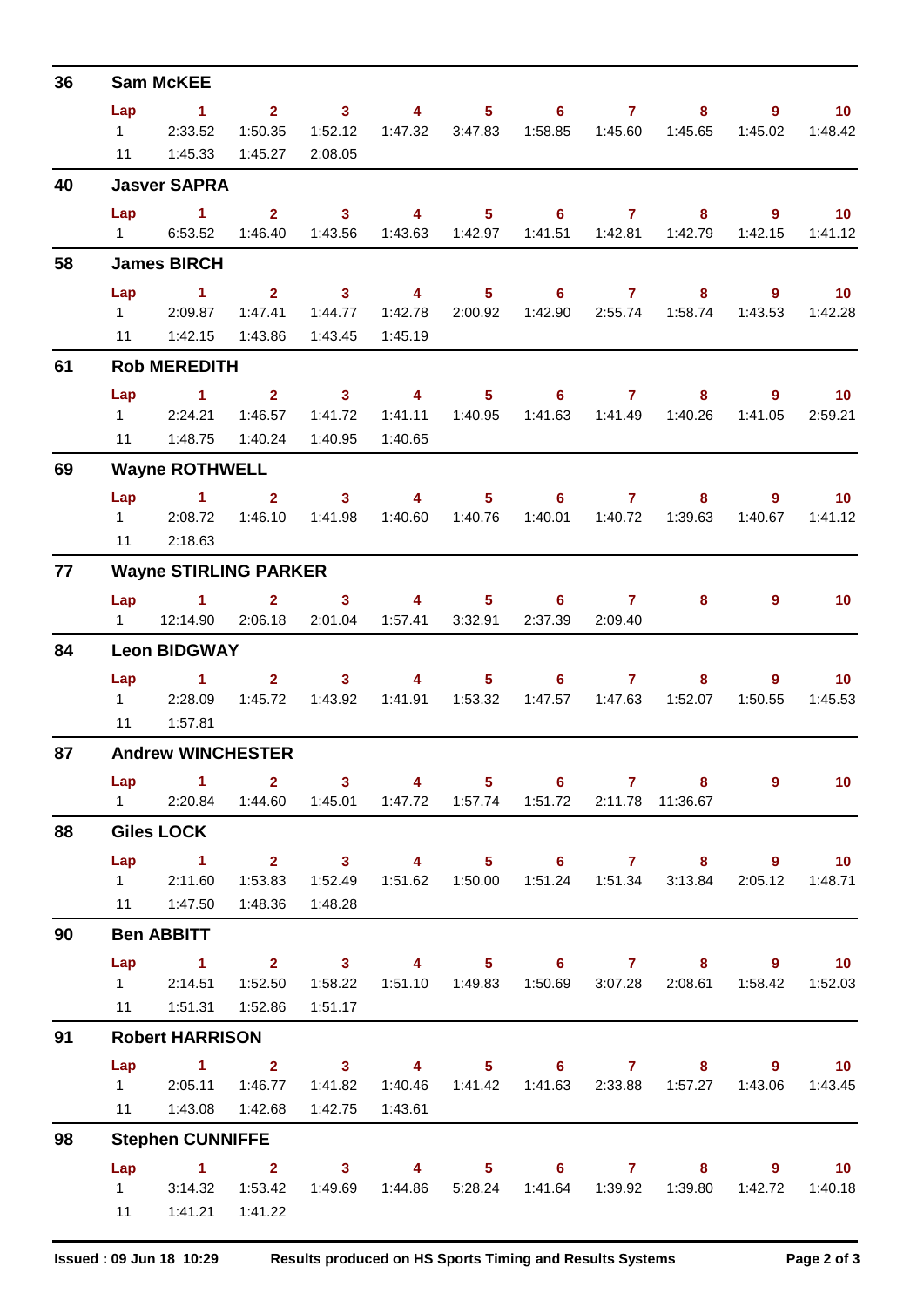| 36 |                        | <b>Sam McKEE</b>                                                   |                           |                                    |                                    |                           |                  |                           |                                                                                                       |                |                            |
|----|------------------------|--------------------------------------------------------------------|---------------------------|------------------------------------|------------------------------------|---------------------------|------------------|---------------------------|-------------------------------------------------------------------------------------------------------|----------------|----------------------------|
|    | Lap                    | $\sim$ 1                                                           |                           | $2 \t 3$                           | $\overline{4}$                     |                           | $5 \t\t 6$       | $\mathbf{7}$              | 8                                                                                                     | $9^{\circ}$    | 10 <sub>1</sub>            |
|    | $1 \quad \blacksquare$ | 2:33.52                                                            | 1:50.35                   | 1:52.12                            |                                    | 1:47.32 3:47.83           | 1:58.85          | 1:45.60                   | 1:45.65                                                                                               | 1:45.02        | 1:48.42                    |
|    | 11                     | 1:45.33                                                            | 1:45.27                   | 2:08.05                            |                                    |                           |                  |                           |                                                                                                       |                |                            |
| 40 |                        | <b>Jasver SAPRA</b>                                                |                           |                                    |                                    |                           |                  |                           |                                                                                                       |                |                            |
|    | Lap                    | $\blacktriangleleft$                                               | 2 <sup>7</sup>            | $\sim$ 3                           | $\overline{4}$                     |                           | $5^{\circ}$      | $6 \overline{7}$          | 8                                                                                                     | $9^{\circ}$    | 10                         |
|    | $1 \quad \Box$         |                                                                    | 6:53.52  1:46.40  1:43.56 |                                    |                                    |                           |                  |                           |                                                                                                       | 1:42.15        | 1:41.12                    |
| 58 |                        | <b>James BIRCH</b>                                                 |                           |                                    |                                    |                           |                  |                           |                                                                                                       |                |                            |
|    | Lap                    | $\sim$ 1                                                           | $2^{\circ}$               | $\overline{\textbf{3}}$ 4          |                                    | $5 -$                     |                  | $6\qquad 7$               | 8 <sup>°</sup>                                                                                        | $\overline{9}$ | $\overline{10}$            |
|    | $1 \quad \Box$         | 2:09.87                                                            | 1:47.41                   | 1:44.77                            | 1:42.78                            | 2:00.92                   |                  | 1:42.90 2:55.74           | 1:58.74                                                                                               | 1:43.53        | 1:42.28                    |
| 61 | 11                     |                                                                    | 1:42.15  1:43.86          | 1:43.45                            | 1:45.19                            |                           |                  |                           |                                                                                                       |                |                            |
|    |                        | <b>Rob MEREDITH</b>                                                |                           |                                    |                                    |                           |                  |                           |                                                                                                       |                |                            |
|    | Lap<br>$1 \quad \Box$  | <b>Contract of Contract State</b><br>2:24.21                       | $2^{\circ}$<br>1:46.57    | $\overline{\mathbf{3}}$<br>1:41.72 | $\overline{\mathbf{4}}$<br>1:41.11 | 5 <sub>1</sub><br>1:40.95 | $6 -$<br>1:41.63 | $\overline{7}$<br>1:41.49 | 8 <sup>°</sup><br>1:40.26                                                                             | 9<br>1:41.05   | $\overline{10}$<br>2:59.21 |
|    |                        | 11   1:48.75   1:40.24                                             |                           | 1:40.95                            | 1:40.65                            |                           |                  |                           |                                                                                                       |                |                            |
| 69 |                        | <b>Wayne ROTHWELL</b>                                              |                           |                                    |                                    |                           |                  |                           |                                                                                                       |                |                            |
|    |                        | $Lap$ 1 2                                                          |                           | $\overline{\phantom{a}}$ 3         | $\overline{\mathbf{4}}$            | $5 -$                     | $6 \overline{7}$ |                           | 8                                                                                                     | $9^{\circ}$    | 10 <sup>°</sup>            |
|    | $1 \quad \Box$         | 2:08.72                                                            | 1:46.10                   | 1:41.98                            | 1:40.60                            | 1:40.76                   | 1:40.01          | 1:40.72                   | 1:39.63                                                                                               | 1:40.67        | 1:41.12                    |
|    | 11                     | 2:18.63                                                            |                           |                                    |                                    |                           |                  |                           |                                                                                                       |                |                            |
| 77 |                        | <b>Wayne STIRLING PARKER</b>                                       |                           |                                    |                                    |                           |                  |                           |                                                                                                       |                |                            |
|    |                        | Lap 1                                                              | $\mathbf{2}$              | 3 <sup>1</sup>                     | $\overline{4}$                     | $5 -$                     | 6 <sup>1</sup>   | $\mathbf{7}$              | 8                                                                                                     | $\overline{9}$ | 10 <sup>°</sup>            |
|    | $1 \quad$              | 12:14.90                                                           | 2:06.18                   | 2:01.04                            | 1:57.41                            | 3:32.91                   | 2:37.39          | 2:09.40                   |                                                                                                       |                |                            |
| 84 |                        | <b>Leon BIDGWAY</b>                                                |                           |                                    |                                    |                           |                  |                           |                                                                                                       |                |                            |
|    | Lap                    | $\blacktriangleleft$                                               | $2^{\circ}$               | 3 <sup>1</sup>                     | $\overline{4}$                     |                           | $5^{\circ}$<br>6 | $\mathbf{7}$              | 8                                                                                                     | $9^{\circ}$    | 10 <sub>1</sub>            |
|    |                        | 1 2:28.09 1:45.72                                                  |                           | 1:43.92                            |                                    | 1:41.91  1:53.32          |                  |                           | 1:47.57  1:47.63  1:52.07                                                                             | 1:50.55        | 1:45.53                    |
|    | 11                     | 1:57.81                                                            |                           |                                    |                                    |                           |                  |                           |                                                                                                       |                |                            |
| 87 |                        | <b>Andrew WINCHESTER</b>                                           |                           |                                    |                                    |                           |                  |                           |                                                                                                       |                |                            |
|    | Lap                    | $\sim$ $\sim$ 1.                                                   |                           |                                    |                                    |                           | 2 3 4 5 6 7 8    |                           |                                                                                                       | 9              | 10                         |
|    |                        | 1 2:20.84 1:44.60 1:45.01 1:47.72 1:57.74 1:51.72 2:11.78 11:36.67 |                           |                                    |                                    |                           |                  |                           |                                                                                                       |                |                            |
| 88 |                        | <b>Giles LOCK</b>                                                  |                           |                                    |                                    |                           |                  |                           |                                                                                                       |                |                            |
|    | Lap                    | $\sim$ $-1$<br>1 2:11.60                                           |                           |                                    |                                    |                           |                  |                           | 2 3 4 5 6 7 8 9 10<br>1:53.83  1:52.49  1:51.62  1:50.00  1:51.24  1:51.34  3:13.84  2:05.12  1:48.71 |                |                            |
|    |                        | 11  1:47.50                                                        | 1:48.36                   | 1:48.28                            |                                    |                           |                  |                           |                                                                                                       |                |                            |
| 90 |                        | <b>Ben ABBITT</b>                                                  |                           |                                    |                                    |                           |                  |                           |                                                                                                       |                |                            |
|    |                        | Lap 1 2 3 4 5 6 7 8 9 10                                           |                           |                                    |                                    |                           |                  |                           |                                                                                                       |                |                            |
|    |                        | 12:14.51                                                           |                           |                                    |                                    |                           |                  |                           | 1:52.50  1:58.22  1:51.10  1:49.83  1:50.69  3:07.28  2:08.61  1:58.42  1:52.03                       |                |                            |
|    |                        | 11   1:51.31   1:52.86                                             |                           | 1:51.17                            |                                    |                           |                  |                           |                                                                                                       |                |                            |
| 91 |                        | <b>Robert HARRISON</b>                                             |                           |                                    |                                    |                           |                  |                           |                                                                                                       |                |                            |
|    |                        | Lap 1 2 3 4 5 6 7 8 9 10                                           |                           |                                    |                                    |                           |                  |                           |                                                                                                       |                |                            |
|    |                        | 1 2:05.11 1:46.77                                                  |                           | 1:41.82                            |                                    |                           |                  |                           | 1:40.46  1:41.42  1:41.63  2:33.88  1:57.27  1:43.06  1:43.45                                         |                |                            |
|    |                        | 11  1:43.08  1:42.68                                               |                           | 1:42.75                            | 1:43.61                            |                           |                  |                           |                                                                                                       |                |                            |
| 98 |                        | <b>Stephen CUNNIFFE</b>                                            |                           |                                    |                                    |                           |                  |                           |                                                                                                       |                |                            |
|    |                        | Lap 1 2 3 4 5 6 7 8 9 10                                           |                           |                                    |                                    |                           |                  |                           |                                                                                                       |                |                            |
|    | $1 \quad \Box$         |                                                                    | 3:14.32  1:53.42          |                                    |                                    |                           |                  |                           | 1:49.69  1:44.86  5:28.24  1:41.64  1:39.92  1:39.80                                                  |                | 1:42.72  1:40.18           |
|    |                        | 11   1:41.21   1:41.22                                             |                           |                                    |                                    |                           |                  |                           |                                                                                                       |                |                            |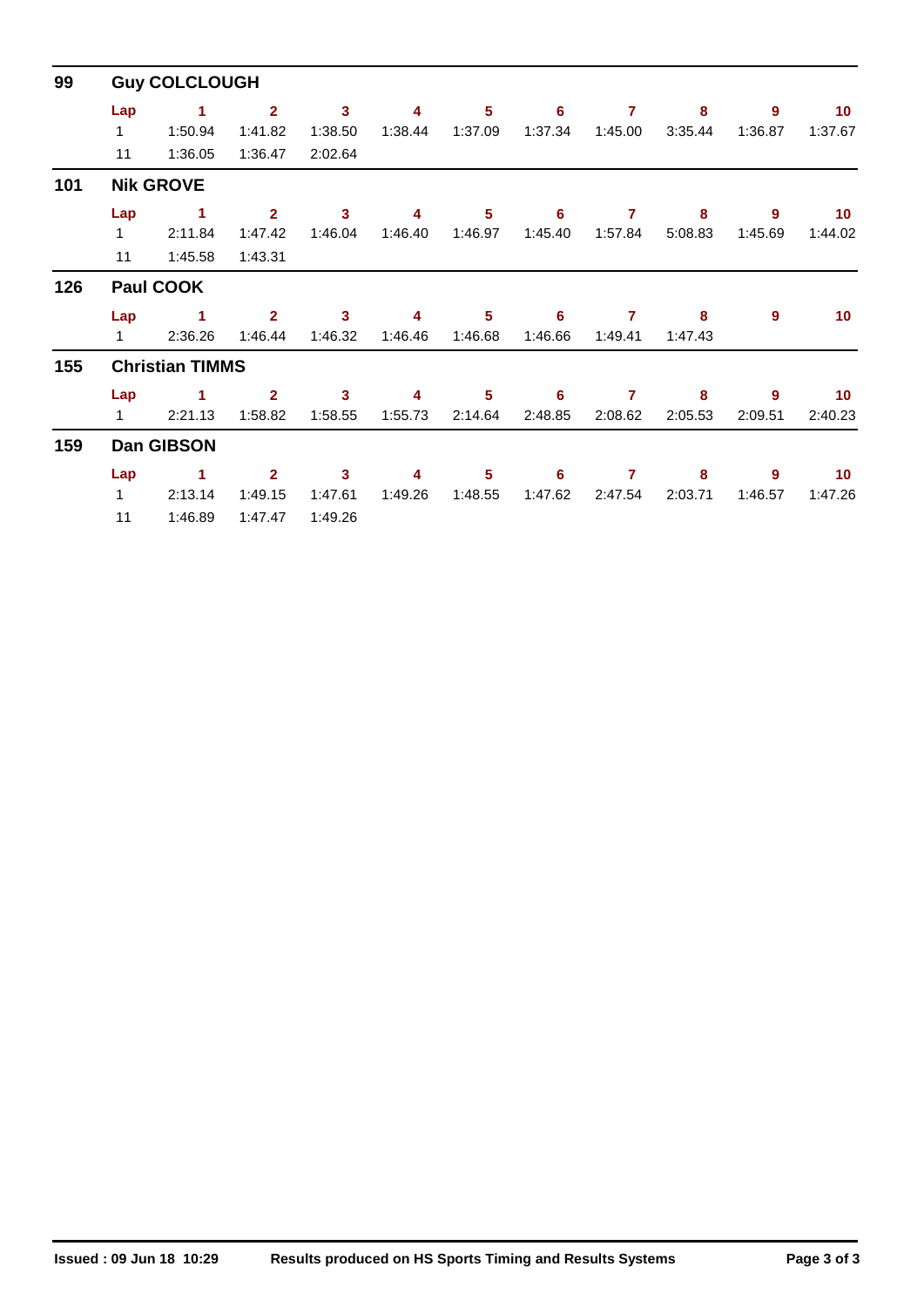| 99  |              | <b>Guy COLCLOUGH</b>   |                |         |         |         |         |         |         |         |                 |
|-----|--------------|------------------------|----------------|---------|---------|---------|---------|---------|---------|---------|-----------------|
|     | Lap          | 1.                     | $\overline{2}$ | 3       | 4       | 5       | 6       | 7       | 8       | 9       | 10 <sup>°</sup> |
|     | $\mathbf{1}$ | 1:50.94                | 1:41.82        | 1:38.50 | 1:38.44 | 1:37.09 | 1:37.34 | 1:45.00 | 3:35.44 | 1:36.87 | 1:37.67         |
|     | 11           | 1:36.05                | 1:36.47        | 2:02.64 |         |         |         |         |         |         |                 |
| 101 |              | <b>Nik GROVE</b>       |                |         |         |         |         |         |         |         |                 |
|     | Lap          | 1                      | $\mathbf{2}$   | 3       | 4       | 5       | 6       | 7       | 8       | 9       | 10 <sup>°</sup> |
|     | $\mathbf{1}$ | 2:11.84                | 1:47.42        | 1:46.04 | 1:46.40 | 1:46.97 | 1:45.40 | 1:57.84 | 5:08.83 | 1:45.69 | 1:44.02         |
|     | 11           | 1:45.58                | 1:43.31        |         |         |         |         |         |         |         |                 |
| 126 |              | Paul COOK              |                |         |         |         |         |         |         |         |                 |
|     | Lap          | 1                      | $\overline{2}$ | 3       | 4       | 5       | 6       | 7       | 8       | 9       | 10 <sub>1</sub> |
|     | $\mathbf{1}$ | 2:36.26                | 1:46.44        | 1:46.32 | 1:46.46 | 1:46.68 | 1:46.66 | 1:49.41 | 1:47.43 |         |                 |
| 155 |              | <b>Christian TIMMS</b> |                |         |         |         |         |         |         |         |                 |
|     | Lap          |                        | $\overline{2}$ | 3       | 4       | 5       | 6       | 7       | 8       | 9       | 10 <sub>1</sub> |
|     | $\mathbf{1}$ | 2:21.13                | 1:58.82        | 1:58.55 | 1:55.73 | 2:14.64 | 2:48.85 | 2:08.62 | 2:05.53 | 2:09.51 | 2:40.23         |
| 159 |              | Dan GIBSON             |                |         |         |         |         |         |         |         |                 |
|     | Lap          | 1                      | $\overline{2}$ | 3       | 4       | 5       | 6       | 7       | 8       | 9       | 10 <sup>°</sup> |
|     | $\mathbf{1}$ | 2:13.14                | 1:49.15        | 1:47.61 | 1:49.26 | 1:48.55 | 1:47.62 | 2:47.54 | 2:03.71 | 1:46.57 | 1:47.26         |
|     | 11           | 1:46.89                | 1:47.47        | 1:49.26 |         |         |         |         |         |         |                 |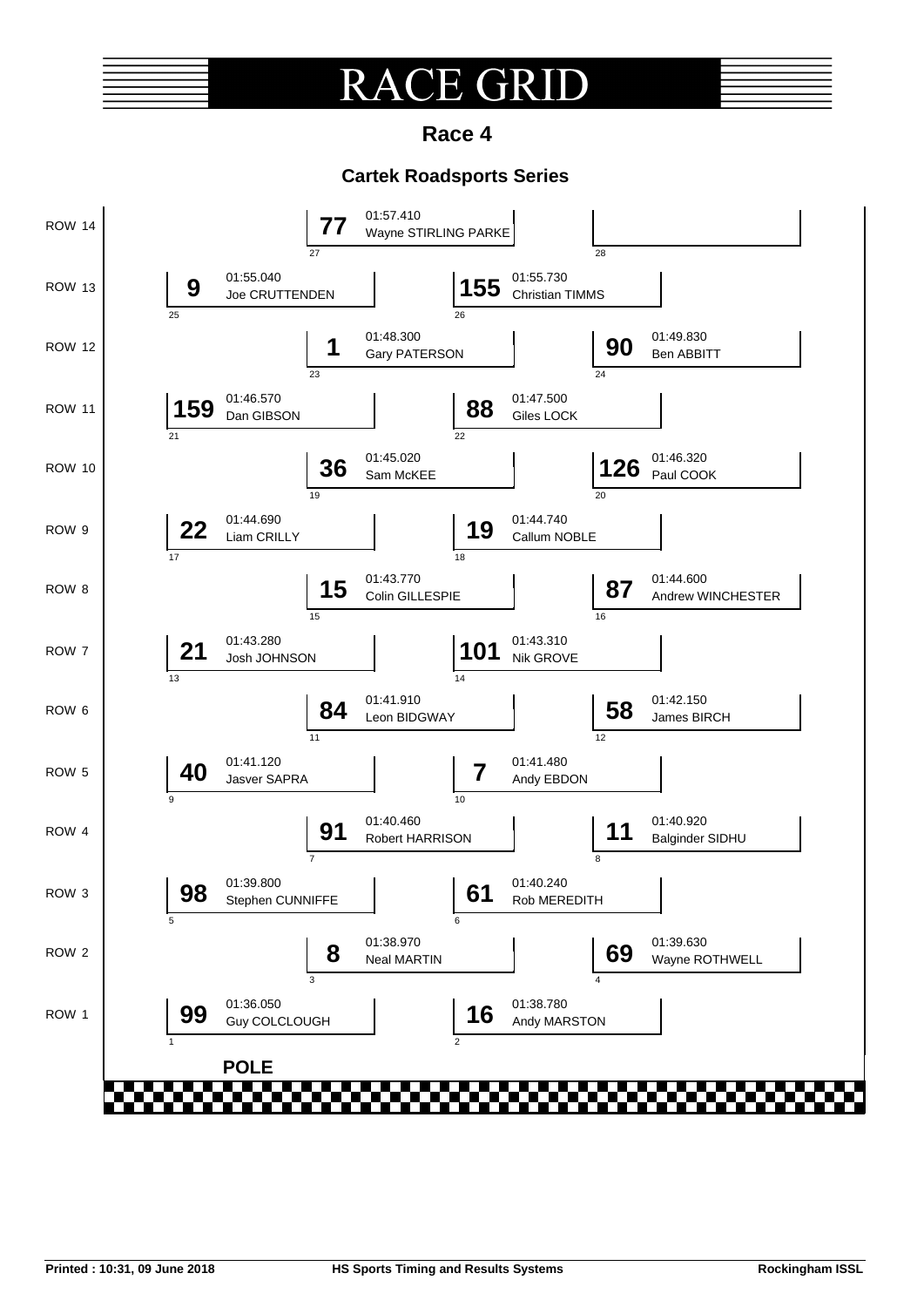## **E** GRI  $\pmb{\mathrm{R}}$

**Race 4**

## **Cartek Roadsports Series**

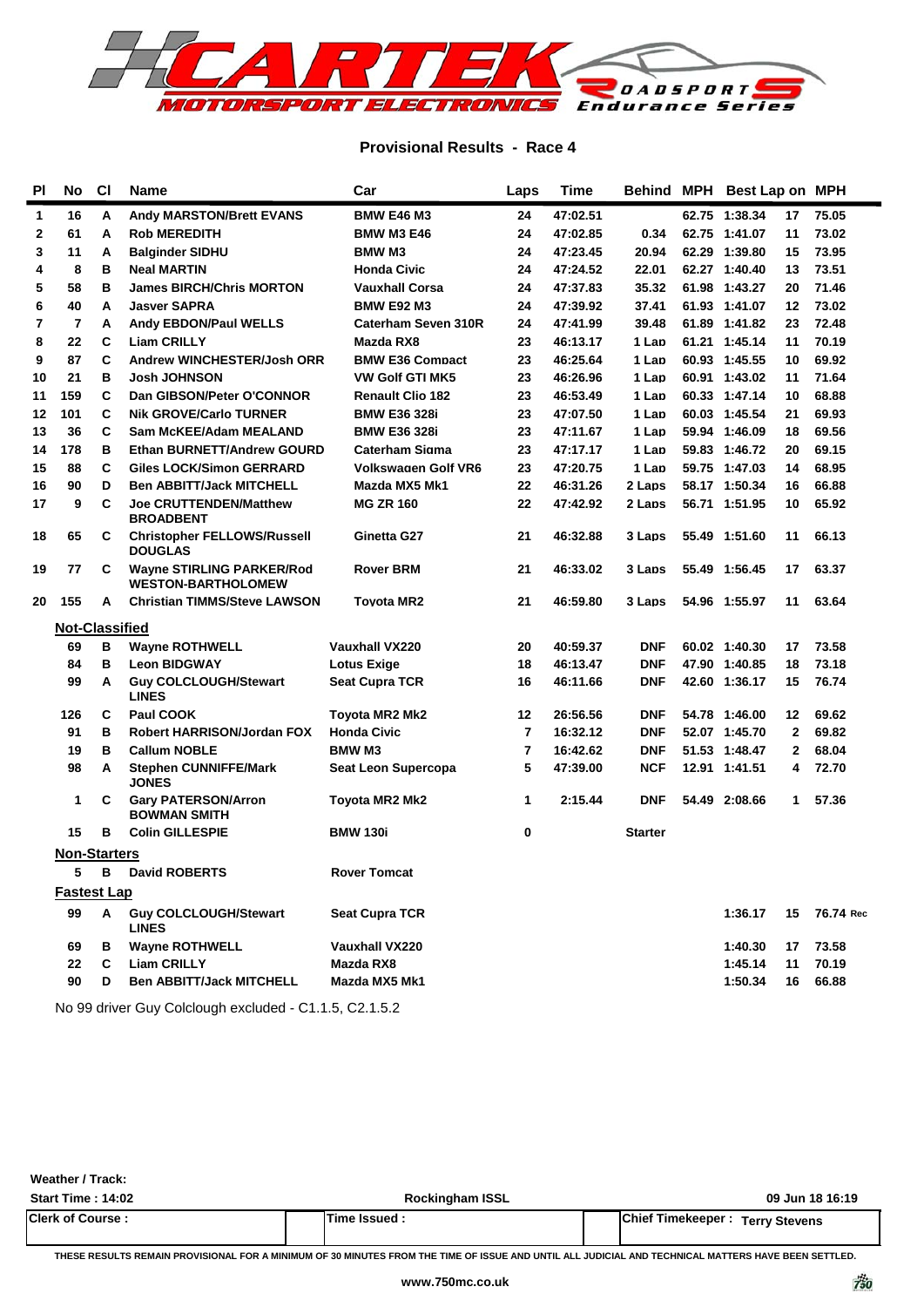

### **Provisional Results - Race 4**

| PI | No                    | <b>CI</b> | Name                                                   | Car                     | Laps           | Time     | <b>Behind MPH</b> | Best Lap on MPH |    |           |
|----|-----------------------|-----------|--------------------------------------------------------|-------------------------|----------------|----------|-------------------|-----------------|----|-----------|
| 1  | 16                    | А         | <b>Andy MARSTON/Brett EVANS</b>                        | <b>BMW E46 M3</b>       | 24             | 47:02.51 |                   | 62.75 1:38.34   | 17 | 75.05     |
| 2  | 61                    | А         | Rob MEREDITH                                           | <b>BMW M3 E46</b>       | 24             | 47:02.85 | 0.34              | 62.75 1:41.07   | 11 | 73.02     |
| 3  | 11                    | А         | <b>Balginder SIDHU</b>                                 | <b>BMW M3</b>           | 24             | 47:23.45 | 20.94             | 62.29 1:39.80   | 15 | 73.95     |
| 4  | 8                     | в         | <b>Neal MARTIN</b>                                     | <b>Honda Civic</b>      | 24             | 47:24.52 | 22.01             | 62.27 1:40.40   | 13 | 73.51     |
| 5  | 58                    | в         | <b>James BIRCH/Chris MORTON</b>                        | <b>Vauxhall Corsa</b>   | 24             | 47:37.83 | 35.32             | 61.98 1:43.27   | 20 | 71.46     |
| 6  | 40                    | А         | Jasver SAPRA                                           | <b>BMW E92 M3</b>       | 24             | 47:39.92 | 37.41             | 61.93 1:41.07   | 12 | 73.02     |
| 7  | $\overline{7}$        | А         | <b>Andy EBDON/Paul WELLS</b>                           | Caterham Seven 310R     | 24             | 47:41.99 | 39.48             | 61.89 1:41.82   | 23 | 72.48     |
| 8  | 22                    | C         | <b>Liam CRILLY</b>                                     | Mazda RX8               | 23             | 46:13.17 | 1 Lan             | 61.21 1:45.14   | 11 | 70.19     |
| 9  | 87                    | C         | <b>Andrew WINCHESTER/Josh ORR</b>                      | <b>BMW E36 Compact</b>  | 23             | 46:25.64 | 1 Lap             | 60.93 1:45.55   | 10 | 69.92     |
| 10 | 21                    | в         | Josh JOHNSON                                           | VW Golf GTI MK5         | 23             | 46:26.96 | 1 Lan             | 60.91 1:43.02   | 11 | 71.64     |
| 11 | 159                   | C         | Dan GIBSON/Peter O'CONNOR                              | <b>Renault Clio 182</b> | 23             | 46:53.49 | 1 Lap             | 60.33 1:47.14   | 10 | 68.88     |
| 12 | 101                   | C         | <b>Nik GROVE/Carlo TURNER</b>                          | <b>BMW E36 328i</b>     | 23             | 47:07.50 | 1 Lap             | 60.03 1:45.54   | 21 | 69.93     |
| 13 | 36                    | C         | <b>Sam McKEE/Adam MEALAND</b>                          | <b>BMW E36 328i</b>     | 23             | 47:11.67 | 1 Lap             | 59.94 1:46.09   | 18 | 69.56     |
| 14 | 178                   | в         | <b>Ethan BURNETT/Andrew GOURD</b>                      | Caterham Sigma          | 23             | 47:17.17 | 1 Lap             | 59.83 1:46.72   | 20 | 69.15     |
| 15 | 88                    | C         | Giles LOCK/Simon GERRARD                               | Volkswagen Golf VR6     | 23             | 47:20.75 | 1 Lan             | 59.75 1:47.03   | 14 | 68.95     |
| 16 | 90                    | D         | <b>Ben ABBITT/Jack MITCHELL</b>                        | Mazda MX5 Mk1           | 22             | 46:31.26 | 2 Laps            | 58.17 1:50.34   | 16 | 66.88     |
| 17 | 9                     | C         | <b>Joe CRUTTENDEN/Matthew</b><br><b>BROADBENT</b>      | <b>MG ZR 160</b>        | 22             | 47:42.92 | 2 Laps            | 56.71 1:51.95   | 10 | 65.92     |
| 18 | 65                    | C         | <b>Christopher FELLOWS/Russell</b><br><b>DOUGLAS</b>   | Ginetta G27             | 21             | 46:32.88 | 3 Laps            | 55.49 1:51.60   | 11 | 66.13     |
| 19 | 77                    | C         | Wayne STIRLING PARKER/Rod<br><b>WESTON-BARTHOLOMEW</b> | Rover BRM               | 21             | 46:33.02 | 3 Laps            | 55.49 1:56.45   | 17 | 63.37     |
| 20 | 155                   | A         | <b>Christian TIMMS/Steve LAWSON</b>                    | <b>Tovota MR2</b>       | 21             | 46:59.80 | 3 Laps            | 54.96 1:55.97   | 11 | 63.64     |
|    | <b>Not-Classified</b> |           |                                                        |                         |                |          |                   |                 |    |           |
|    | 69                    | в         | <b>Wayne ROTHWELL</b>                                  | <b>Vauxhall VX220</b>   | 20             | 40:59.37 | <b>DNF</b>        | 60.02 1:40.30   | 17 | 73.58     |
|    | 84                    | в         | <b>Leon BIDGWAY</b>                                    | <b>Lotus Exige</b>      | 18             | 46:13.47 | <b>DNF</b>        | 47.90 1:40.85   | 18 | 73.18     |
|    | 99                    | А         | <b>Guy COLCLOUGH/Stewart</b><br><b>LINES</b>           | <b>Seat Cupra TCR</b>   | 16             | 46:11.66 | <b>DNF</b>        | 42.60 1:36.17   | 15 | 76.74     |
|    | 126                   | С         | Paul COOK                                              | Toyota MR2 Mk2          | 12             | 26:56.56 | <b>DNF</b>        | 54.78 1:46.00   | 12 | 69.62     |
|    | 91                    | в         | Robert HARRISON/Jordan FOX                             | <b>Honda Civic</b>      | 7              | 16:32.12 | <b>DNF</b>        | 52.07 1:45.70   | 2  | 69.82     |
|    | 19                    | в         | <b>Callum NOBLE</b>                                    | <b>BMW M3</b>           | $\overline{7}$ | 16:42.62 | <b>DNF</b>        | 51.53 1:48.47   | 2  | 68.04     |
|    | 98                    | А         | <b>Stephen CUNNIFFE/Mark</b><br><b>JONES</b>           | Seat Leon Supercopa     | 5              | 47:39.00 | NCF               | 12.91 1:41.51   | 4  | 72.70     |
|    | 1                     | C         | <b>Gary PATERSON/Arron</b><br><b>BOWMAN SMITH</b>      | <b>Toyota MR2 Mk2</b>   | 1              | 2:15.44  | <b>DNF</b>        | 54.49 2:08.66   | 1  | 57.36     |
|    | 15                    | в         | <b>Colin GILLESPIE</b>                                 | <b>BMW 130i</b>         | 0              |          | <b>Starter</b>    |                 |    |           |
|    | <b>Non-Starters</b>   |           |                                                        |                         |                |          |                   |                 |    |           |
|    | 5                     | в         | <b>David ROBERTS</b>                                   | <b>Rover Tomcat</b>     |                |          |                   |                 |    |           |
|    | <b>Fastest Lap</b>    |           |                                                        |                         |                |          |                   |                 |    |           |
|    | 99                    | Α         | <b>Guy COLCLOUGH/Stewart</b><br><b>LINES</b>           | <b>Seat Cupra TCR</b>   |                |          |                   | 1:36.17         | 15 | 76.74 Rec |
|    | 69                    | В         | <b>Wayne ROTHWELL</b>                                  | <b>Vauxhall VX220</b>   |                |          |                   | 1:40.30         | 17 | 73.58     |
|    | 22                    | C         | <b>Liam CRILLY</b>                                     | Mazda RX8               |                |          |                   | 1:45.14         | 11 | 70.19     |
|    | 90                    | D         | <b>Ben ABBITT/Jack MITCHELL</b>                        | Mazda MX5 Mk1           |                |          |                   | 1:50.34         | 16 | 66.88     |
|    |                       |           |                                                        |                         |                |          |                   |                 |    |           |

No 99 driver Guy Colclough excluded - C1.1.5, C2.1.5.2

| Weather / Track:         |                        |                                        |
|--------------------------|------------------------|----------------------------------------|
| <b>Start Time: 14:02</b> | <b>Rockingham ISSL</b> | 09 Jun 18 16:19                        |
| <b>Clerk of Course:</b>  | Time Issued:           | <b>Chief Timekeeper: Terry Stevens</b> |

**THESE RESULTS REMAIN PROVISIONAL FOR A MINIMUM OF 30 MINUTES FROM THE TIME OF ISSUE AND UNTIL ALL JUDICIAL AND TECHNICAL MATTERS HAVE BEEN SETTLED.**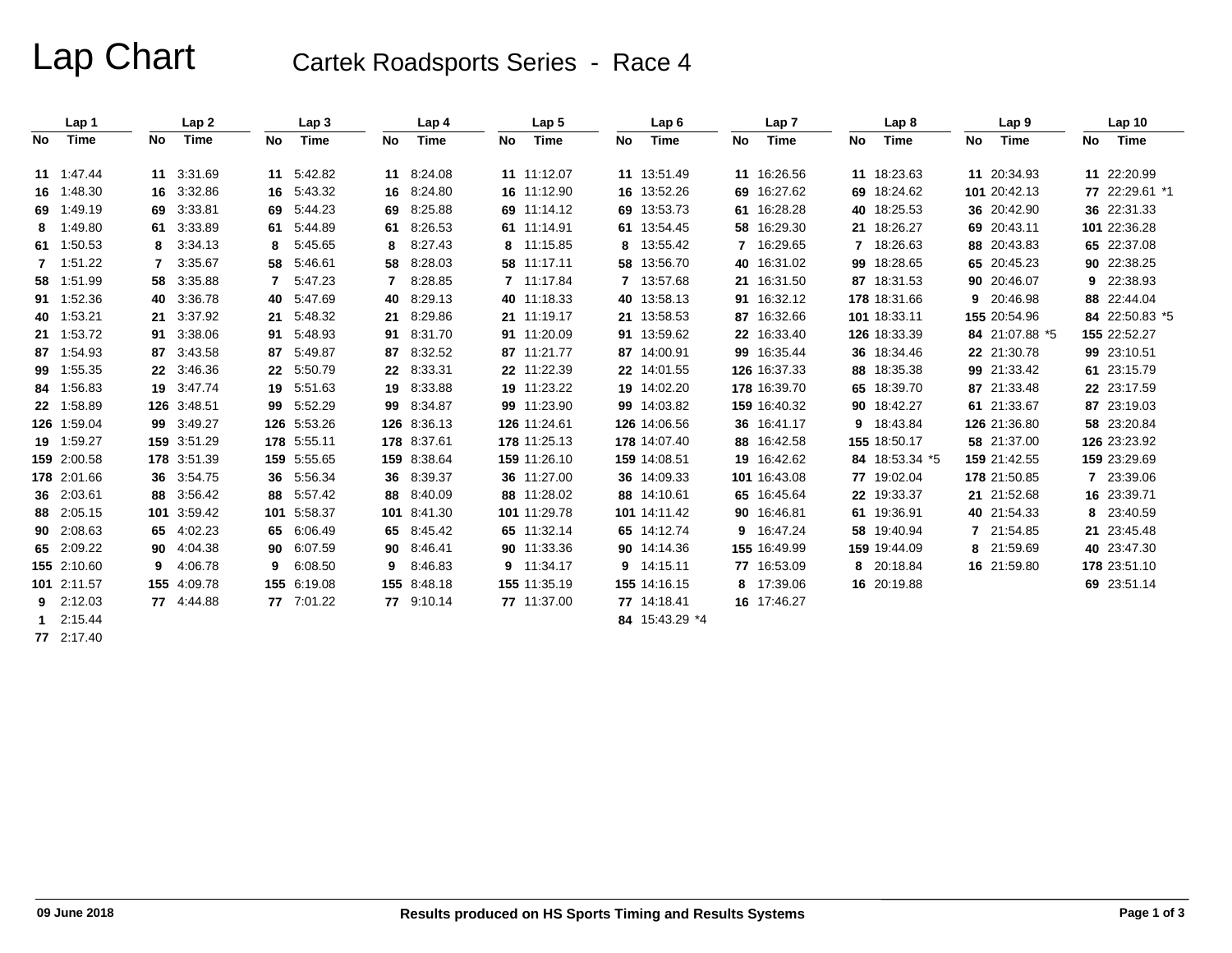# Lap Chart Cartek Roadsports Series - Race 4

|    | Lap 1       |    | Lap <sub>2</sub> |    | Lap <sub>3</sub> |         | Lap <sub>4</sub> |    | Lap <sub>5</sub> |    | Lap6           |    | Lap <sub>7</sub> |    | Lap 8          |    | Lap 9          |    | Lap <sub>10</sub> |
|----|-------------|----|------------------|----|------------------|---------|------------------|----|------------------|----|----------------|----|------------------|----|----------------|----|----------------|----|-------------------|
| No | Time        | No | Time             | No | <b>Time</b>      | No      | Time             | No | <b>Time</b>      | No | Time           | No | Time             | No | Time           | No | Time           | No | Time              |
|    | 11 1.47.44  |    | 11 3:31.69       |    | 11 5:42.82       |         | 11 8:24.08       |    | 11 11:12.07      |    | 11 13:51.49    |    | 11 16:26.56      |    | 11 18:23.63    |    | 11 20:34.93    |    | 11 22:20.99       |
|    | 16 1:48.30  |    | 16 3:32.86       | 16 | 5:43.32          | 16      | 8:24.80          |    | 16 11:12.90      |    | 16 13:52.26    |    | 69 16:27.62      |    | 69 18:24.62    |    | 101 20:42.13   |    | 77 22:29.61 *1    |
|    | 69 1:49.19  |    | 69 3:33.81       | 69 | 5:44.23          | 69      | 8:25.88          |    | 69 11:14.12      |    | 69 13:53.73    |    | 61 16:28.28      |    | 40 18:25.53    |    | 36 20:42.90    |    | 36 22:31.33       |
|    | 8 1:49.80   |    | 61 3:33.89       | 61 | 5:44.89          | 61      | 8:26.53          |    | 61 11:14.91      |    | 61 13:54.45    |    | 58 16:29.30      |    | 21 18:26.27    |    | 69 20:43.11    |    | 101 22:36.28      |
|    | 61 1:50.53  | 8  | 3:34.13          | 8  | 5:45.65          | 8       | 8:27.43          |    | 8 11:15.85       |    | 8 13:55.42     |    | 7 16:29.65       |    | 7 18:26.63     |    | 88 20:43.83    |    | 65 22:37.08       |
|    | 7 1:51.22   |    | 3:35.67          | 58 | 5:46.61          | 58      | 8:28.03          |    | 58 11:17.11      |    | 58 13:56.70    |    | 40 16:31.02      |    | 99 18:28.65    |    | 65 20:45.23    |    | 90 22:38.25       |
|    | 58 1:51.99  |    | 58 3:35.88       |    | 5:47.23          | 7       | 8:28.85          |    | 7 11:17.84       |    | 7 13:57.68     |    | 21 16:31.50      |    | 87 18:31.53    |    | 90 20:46.07    |    | 9 22:38.93        |
|    | 91 1:52.36  |    | 40 3:36.78       | 40 | 5:47.69          | 40      | 8:29.13          |    | 40 11:18.33      |    | 40 13:58.13    |    | 91 16:32.12      |    | 178 18:31.66   |    | 9 20:46.98     |    | 88 22:44.04       |
|    | 40 1:53.21  | 21 | 3:37.92          | 21 | 5:48.32          | 21      | 8.29.86          |    | 21 11:19.17      |    | 21 13:58.53    |    | 87 16:32.66      |    | 101 18:33.11   |    | 155 20:54.96   |    | 84 22:50.83 *5    |
|    | 21 1:53.72  |    | 91 3:38.06       | 91 | 5:48.93          | 91      | 8:31.70          |    | 91 11:20.09      |    | 91 13:59.62    |    | 22 16:33.40      |    | 126 18:33.39   |    | 84 21:07.88 *5 |    | 155 22:52.27      |
|    | 87 1:54.93  |    | 87 3:43.58       | 87 | 5:49.87          | 87      | 8:32.52          |    | 87 11:21.77      |    | 87 14:00.91    |    | 99 16:35.44      |    | 36 18:34.46    |    | 22 21:30.78    |    | 99 23:10.51       |
|    | 99 1:55.35  |    | 22 3:46.36       | 22 | 5:50.79          | $22 \,$ | 8:33.31          |    | 22 11:22.39      |    | 22 14:01.55    |    | 126 16:37.33     |    | 88 18:35.38    |    | 99 21:33.42    |    | 61 23:15.79       |
|    | 84 1:56.83  |    | 19 3:47.74       | 19 | 5:51.63          | 19      | 8:33.88          |    | 19 11:23.22      |    | 19 14:02.20    |    | 178 16:39.70     |    | 65 18:39.70    |    | 87 21:33.48    |    | 22 23:17.59       |
|    | 22 1:58.89  |    | 126 3:48.51      | 99 | 5:52.29          | 99      | 8:34.87          |    | 99 11:23.90      |    | 99 14:03.82    |    | 159 16:40.32     |    | 90 18:42.27    |    | 61 21:33.67    |    | 87 23:19.03       |
|    | 126 1:59.04 |    | 99 3:49.27       |    | 126 5:53.26      |         | 126 8:36.13      |    | 126 11:24.61     |    | 126 14:06.56   |    | 36 16:41.17      |    | 9 18:43.84     |    | 126 21:36.80   |    | 58 23:20.84       |
|    | 19 1:59.27  |    | 159 3:51.29      |    | 178 5:55.11      |         | 178 8:37.61      |    | 178 11:25.13     |    | 178 14:07.40   |    | 88 16:42.58      |    | 155 18:50.17   |    | 58 21:37.00    |    | 126 23:23.92      |
|    | 159 2:00.58 |    | 178 3:51.39      |    | 159 5:55.65      |         | 159 8:38.64      |    | 159 11:26.10     |    | 159 14:08.51   |    | 19 16:42.62      |    | 84 18:53.34 *5 |    | 159 21:42.55   |    | 159 23:29.69      |
|    | 178 2:01.66 |    | 36 3:54.75       | 36 | 5:56.34          | 36      | 8:39.37          |    | 36 11:27.00      |    | 36 14:09.33    |    | 101 16:43.08     |    | 77 19:02.04    |    | 178 21:50.85   |    | 7 23:39.06        |
|    | 36 2:03.61  |    | 88 3:56.42       | 88 | 5:57.42          | 88      | 8:40.09          |    | 88 11:28.02      |    | 88 14:10.61    |    | 65 16:45.64      |    | 22 19:33.37    |    | 21 21:52.68    |    | 16 23:39.71       |
|    | 88 2:05.15  |    | 101 3:59.42      |    | 101 5:58.37      |         | 101 8:41.30      |    | 101 11:29.78     |    | 101 14:11.42   |    | 90 16:46.81      |    | 61 19:36.91    |    | 40 21:54.33    |    | 8 23:40.59        |
|    | 90 2:08.63  |    | 65 4:02.23       | 65 | 6:06.49          | 65      | 8:45.42          |    | 65 11:32.14      |    | 65 14:12.74    |    | 9 16:47.24       |    | 58 19:40.94    |    | 7 21:54.85     |    | 21 23:45.48       |
|    | 65 2:09.22  |    | 90 4:04.38       | 90 | 6:07.59          | 90      | 8:46.41          |    | 90 11:33.36      |    | 90 14:14.36    |    | 155 16:49.99     |    | 159 19:44.09   | 8  | 21:59.69       |    | 40 23:47.30       |
|    | 155 2:10.60 | 9  | 4:06.78          | 9  | 6:08.50          | 9       | 8:46.83          |    | 9 11:34.17       |    | 9 14:15.11     |    | 77 16:53.09      |    | 8 20:18.84     |    | 16 21:59.80    |    | 178 23:51.10      |
|    | 101 2:11.57 |    | 155 4:09.78      |    | 155 6:19.08      |         | 155 8:48.18      |    | 155 11:35.19     |    | 155 14:16.15   |    | 8 17:39.06       |    | 16 20:19.88    |    |                |    | 69 23:51.14       |
|    | $9$ 2:12.03 |    | 77 4:44.88       |    | 77 7:01.22       |         | 77 9:10.14       |    | 77 11:37.00      |    | 77 14:18.41    |    | 16 17:46.27      |    |                |    |                |    |                   |
|    | 12:15.44    |    |                  |    |                  |         |                  |    |                  |    | 84 15:43.29 *4 |    |                  |    |                |    |                |    |                   |
|    | 77 2:17.40  |    |                  |    |                  |         |                  |    |                  |    |                |    |                  |    |                |    |                |    |                   |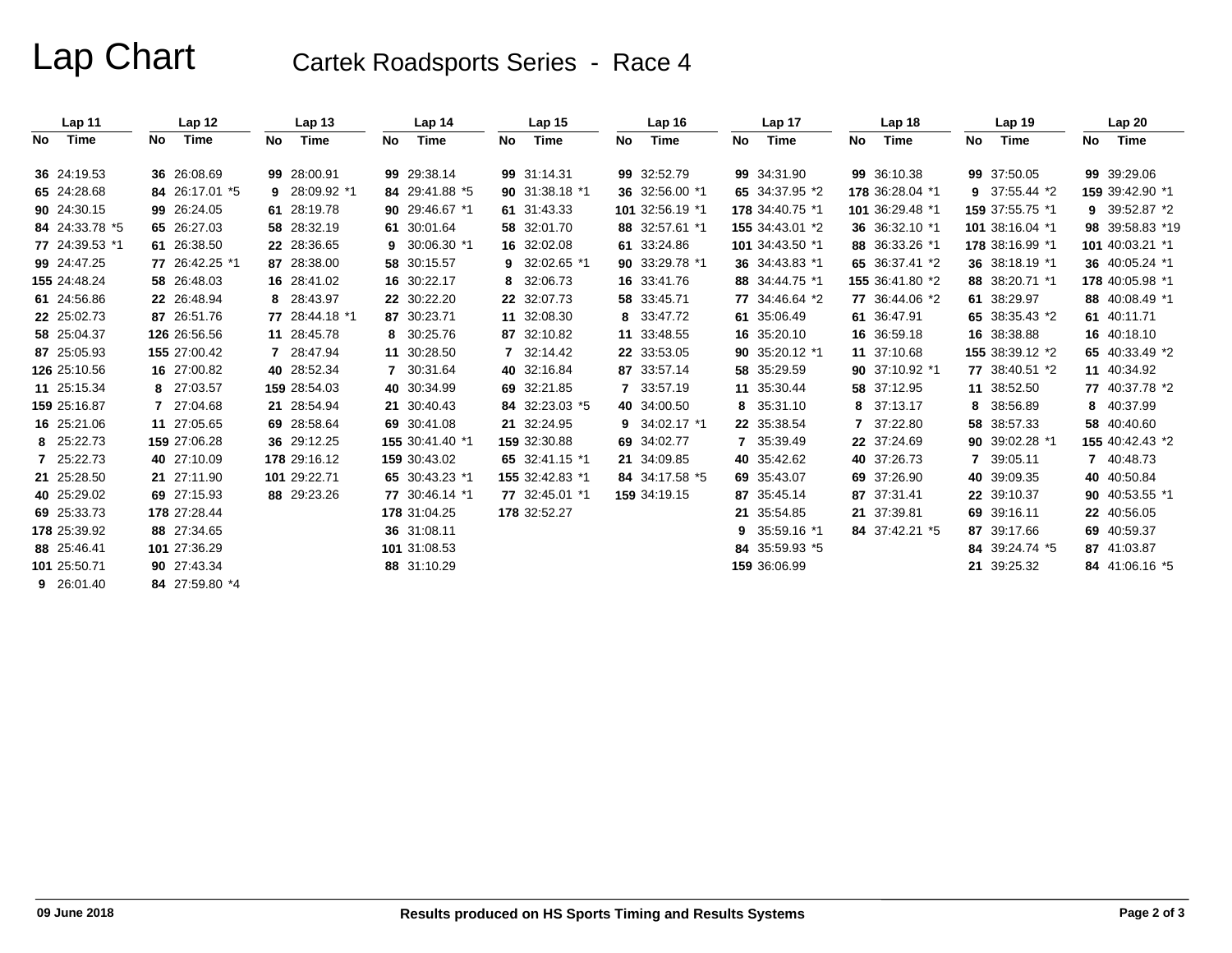# Lap Chart Cartek Roadsports Series - Race 4

|    | Lap 11         |     | Lap 12         |    | Lap <sub>13</sub> |    | Lap <sub>14</sub> |    | Lap <sub>15</sub> |    | Lap <sub>16</sub> |    | Lap 17          |    | Lap <sub>18</sub> |    | Lap <sub>19</sub> |    | Lap20           |
|----|----------------|-----|----------------|----|-------------------|----|-------------------|----|-------------------|----|-------------------|----|-----------------|----|-------------------|----|-------------------|----|-----------------|
| No | Time           | No. | Time           | No | Time              | No | Time              | No | Time              | No | Time              | No | Time            | No | Time              | No | Time              | No | Time            |
|    | 36 24:19.53    |     | 36 26:08.69    |    | 99 28:00.91       |    | 99 29:38.14       |    | 99 31:14.31       |    | 99 32:52.79       |    | 99 34:31.90     |    | 99 36:10.38       |    | 99 37:50.05       |    | 99 39:29.06     |
|    | 65 24:28.68    |     | 84 26:17.01 *5 |    | 9 28:09.92 *1     |    | 84 29:41.88 *5    |    | 90 31:38.18 *1    |    | 36 32:56.00 *1    |    | 65 34:37.95 *2  |    | 178 36:28.04 *1   |    | 9 37:55.44 *2     |    | 159 39:42.90 *1 |
|    | 90 24:30.15    |     | 99 26:24.05    |    | 61 28:19.78       |    | 90 29:46.67 *1    |    | 61 31:43.33       |    | 101 32:56.19 *1   |    | 178 34:40.75 *1 |    | 101 36:29.48 *1   |    | 159 37:55.75 *1   |    | 9 39:52.87 *2   |
|    | 84 24:33.78 *5 |     | 65 26:27.03    |    | 58 28:32.19       |    | 61 30:01.64       |    | 58 32:01.70       |    | 88 32:57.61 *1    |    | 155 34:43.01 *2 |    | 36 36:32.10 *1    |    | 101 38:16.04 *1   |    | 98 39:58.83 *19 |
|    | 77 24:39.53 *1 |     | 61 26:38.50    |    | 22 28:36.65       | 9. | 30:06.30 *1       |    | 16 32:02.08       |    | 61 33:24.86       |    | 101 34:43.50 *1 |    | 88 36:33.26 *1    |    | 178 38:16.99 *1   |    | 101 40:03.21 *1 |
|    | 99 24:47.25    |     | 77 26:42.25 *1 |    | 87 28:38.00       |    | 58 30:15.57       |    | $9$ 32:02.65 $*1$ |    | 90 33:29.78 *1    |    | 36 34:43.83 *1  |    | 65 36:37.41 *2    |    | 36 38:18.19 *1    |    | 36 40:05.24 *1  |
|    | 155 24:48.24   |     | 58 26:48.03    |    | 16 28:41.02       |    | 16 30:22.17       |    | 8 32:06.73        |    | 16 33:41.76       |    | 88 34:44.75 *1  |    | 155 36:41.80 *2   |    | 88 38:20.71 *1    |    | 178 40:05.98 *1 |
|    | 61 24:56.86    |     | 22 26:48.94    |    | 8 28:43.97        |    | 22 30:22.20       |    | 22 32:07.73       |    | 58 33:45.71       |    | 77 34:46.64 *2  |    | 77 36:44.06 *2    |    | 61 38:29.97       |    | 88 40:08.49 *1  |
|    | 22 25:02.73    |     | 87 26:51.76    |    | 77 28:44.18 *1    |    | 87 30:23.71       |    | 11 32:08.30       |    | 8 33:47.72        |    | 61 35:06.49     |    | 61 36:47.91       |    | 65 38:35.43 *2    |    | 61 40:11.71     |
|    | 58 25:04.37    |     | 126 26:56.56   |    | 11 28:45.78       |    | 8 30:25.76        |    | 87 32:10.82       |    | 11 33:48.55       |    | 16 35:20.10     |    | 16 36:59.18       |    | 16 38:38.88       |    | 16 40:18.10     |
|    | 87 25:05.93    |     | 155 27:00.42   |    | 7 28:47.94        |    | 11 30:28.50       |    | 7 32:14.42        |    | 22 33:53.05       |    | 90 35:20.12 *1  |    | 11 37:10.68       |    | 155 38:39.12 *2   |    | 65 40:33.49 *2  |
|    | 126 25:10.56   |     | 16 27:00.82    |    | 40 28:52.34       |    | 7 30:31.64        |    | 40 32:16.84       |    | 87 33:57.14       |    | 58 35:29.59     |    | 90 37:10.92 *1    |    | 77 38:40.51 *2    |    | 11 40:34.92     |
|    | 11 25:15.34    |     | 8 27:03.57     |    | 159 28:54.03      |    | 40 30:34.99       |    | 69 32:21.85       |    | 7 33:57.19        |    | 11 35:30.44     |    | 58 37:12.95       |    | 11 38:52.50       |    | 77 40:37.78 *2  |
|    | 159 25:16.87   |     | 7 27:04.68     |    | 21 28:54.94       |    | 21 30:40.43       |    | 84 32:23.03 *5    |    | 40 34:00.50       |    | 8 35:31.10      |    | 8 37:13.17        | 8  | 38:56.89          |    | 8 40:37.99      |
|    | 16 25:21.06    |     | 11 27:05.65    |    | 69 28:58.64       |    | 69 30:41.08       |    | 21 32:24.95       |    | 9 34:02.17 *1     |    | 22 35:38.54     |    | 7 37:22.80        |    | 58 38:57.33       |    | 58 40:40.60     |
|    | 8 25:22.73     |     | 159 27:06.28   |    | 36 29:12.25       |    | 155 30:41.40 *1   |    | 159 32:30.88      |    | 69 34:02.77       |    | 7 35:39.49      |    | 22 37:24.69       |    | 90 39:02.28 *1    |    | 155 40:42.43 *2 |
|    | 7 25:22.73     |     | 40 27:10.09    |    | 178 29:16.12      |    | 159 30:43.02      |    | 65 32:41.15 *1    |    | 21 34:09.85       |    | 40 35:42.62     |    | 40 37:26.73       | 7  | 39:05.11          |    | 7 40:48.73      |
|    | 21 25:28.50    |     | 21 27:11.90    |    | 101 29:22.71      |    | 65 30:43.23 *1    |    | 155 32:42.83 *1   |    | 84 34:17.58 *5    |    | 69 35:43.07     |    | 69 37:26.90       |    | 40 39:09.35       |    | 40 40:50.84     |
|    | 40 25:29.02    |     | 69 27:15.93    |    | 88 29:23.26       |    | 77 30:46.14 *1    |    | 77 32:45.01 *1    |    | 159 34:19.15      |    | 87 35:45.14     |    | 87 37:31.41       |    | 22 39:10.37       |    | 90 40:53.55 *1  |
|    | 69 25:33.73    |     | 178 27:28.44   |    |                   |    | 178 31:04.25      |    | 178 32:52.27      |    |                   |    | 21 35:54.85     |    | 21 37:39.81       |    | 69 39:16.11       |    | 22 40:56.05     |
|    | 178 25:39.92   |     | 88 27:34.65    |    |                   |    | 36 31:08.11       |    |                   |    |                   |    | 9 35:59.16 *1   |    | 84 37:42.21 *5    |    | 87 39:17.66       |    | 69 40:59.37     |
|    | 88 25:46.41    |     | 101 27:36.29   |    |                   |    | 101 31:08.53      |    |                   |    |                   |    | 84 35:59.93 *5  |    |                   | 84 | 39:24.74 *5       |    | 87 41:03.87     |
|    | 101 25:50.71   |     | 90 27:43.34    |    |                   |    | 88 31:10.29       |    |                   |    |                   |    | 159 36:06.99    |    |                   |    | 21 39:25.32       |    | 84 41:06.16 *5  |
|    | 9 26:01.40     |     | 84 27:59.80 *4 |    |                   |    |                   |    |                   |    |                   |    |                 |    |                   |    |                   |    |                 |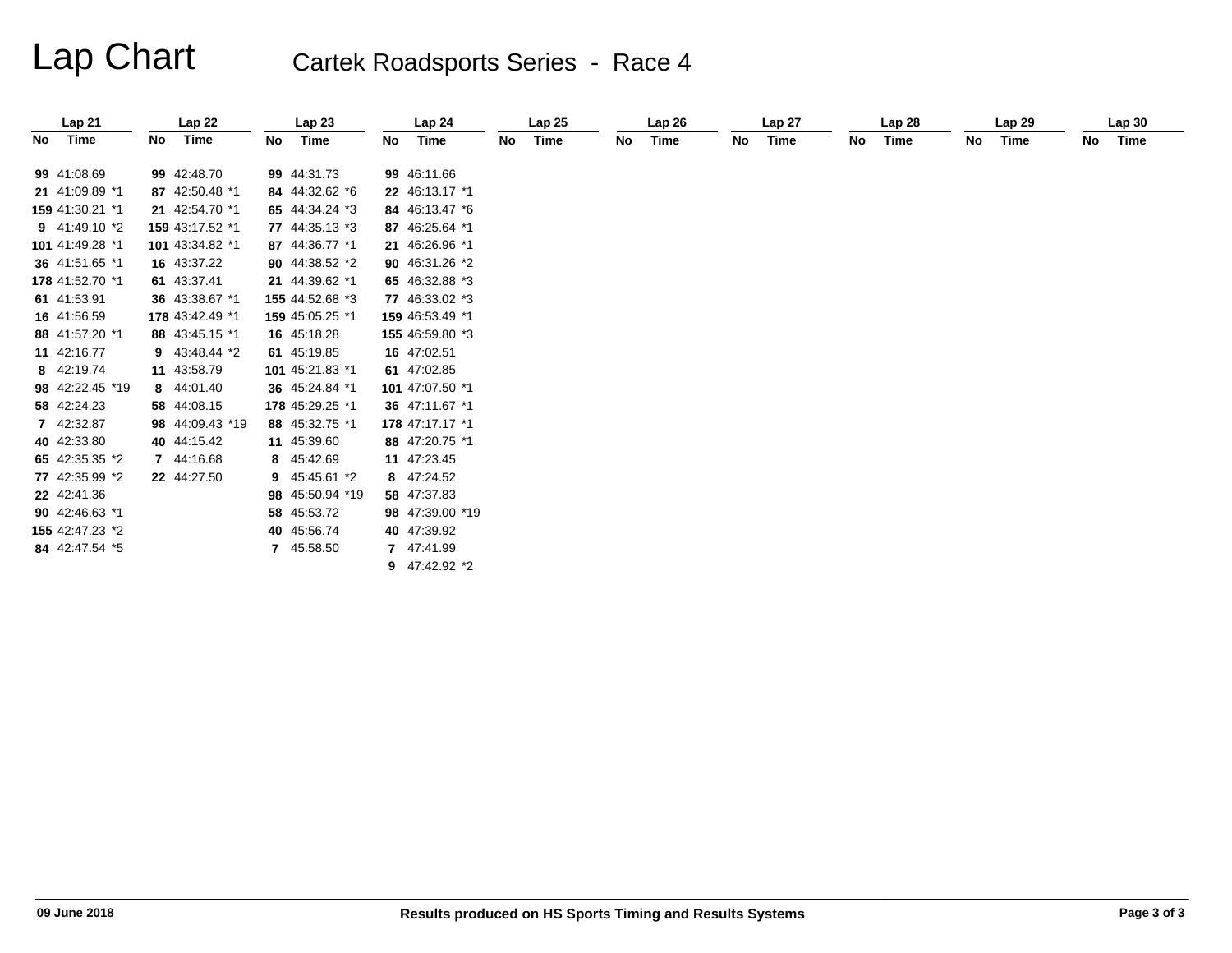# Lap Chart Cartek Roadsports Series - Race 4

|      | Lap 21          |    | Lap22           |    | Lap23           |    | Lap 24          |    | Lap25 |    | Lap26 |    | Lap27 |    | Lap <sub>28</sub> |     | Lap 29 |    | Lap30 |
|------|-----------------|----|-----------------|----|-----------------|----|-----------------|----|-------|----|-------|----|-------|----|-------------------|-----|--------|----|-------|
| No l | Time            | No | Time            | No | Time            | No | Time            | No | Time  | No | Time  | No | Time  | No | Time              | No. | Time   | No | Time  |
|      | 99 41:08.69     |    | 99 42:48.70     |    | 99 44:31.73     |    | 99 46:11.66     |    |       |    |       |    |       |    |                   |     |        |    |       |
|      | 21 41:09.89 *1  |    | 87 42:50.48 *1  |    | 84 44:32.62 *6  |    | 22 46:13.17 *1  |    |       |    |       |    |       |    |                   |     |        |    |       |
|      | 159 41:30.21 *1 |    | 21 42:54.70 *1  |    | 65 44:34.24 *3  |    | 84 46:13.47 *6  |    |       |    |       |    |       |    |                   |     |        |    |       |
|      | 9 41:49.10 *2   |    | 159 43:17.52 *1 |    |                 |    |                 |    |       |    |       |    |       |    |                   |     |        |    |       |
|      |                 |    |                 |    | 77 44:35.13 *3  |    | 87 46:25.64 *1  |    |       |    |       |    |       |    |                   |     |        |    |       |
|      | 101 41:49.28 *1 |    | 101 43:34.82 *1 |    | 87 44:36.77 *1  |    | 21 46:26.96 *1  |    |       |    |       |    |       |    |                   |     |        |    |       |
|      | 36 41:51.65 *1  |    | 16 43:37.22     |    | 90 44:38.52 *2  |    | 90 46:31.26 *2  |    |       |    |       |    |       |    |                   |     |        |    |       |
|      | 178 41:52.70 *1 |    | 61 43:37.41     |    | 21 44:39.62 *1  |    | 65 46:32.88 *3  |    |       |    |       |    |       |    |                   |     |        |    |       |
|      | 61 41:53.91     |    | 36 43:38.67 *1  |    | 155 44:52.68 *3 |    | 77 46:33.02 *3  |    |       |    |       |    |       |    |                   |     |        |    |       |
|      | 16 41:56.59     |    | 178 43:42.49 *1 |    | 159 45:05.25 *1 |    | 159 46:53.49 *1 |    |       |    |       |    |       |    |                   |     |        |    |       |
|      | 88 41:57.20 *1  |    | 88 43:45.15 *1  |    | 16 45:18.28     |    | 155 46:59.80 *3 |    |       |    |       |    |       |    |                   |     |        |    |       |
|      | 11 42:16.77     |    | 9 $43:48.44*2$  |    | 61 45:19.85     |    | 16 47:02.51     |    |       |    |       |    |       |    |                   |     |        |    |       |
|      | 8 42:19.74      |    | 11 43:58.79     |    | 101 45:21.83 *1 |    | 61 47:02.85     |    |       |    |       |    |       |    |                   |     |        |    |       |
|      | 98 42:22.45 *19 |    | 8 44:01.40      |    | 36 45:24.84 *1  |    | 101 47:07.50 *1 |    |       |    |       |    |       |    |                   |     |        |    |       |
|      | 58 42:24.23     |    | 58 44:08.15     |    | 178 45:29.25 *1 |    | 36 47:11.67 *1  |    |       |    |       |    |       |    |                   |     |        |    |       |
|      | 7 42:32.87      |    | 98 44:09.43 *19 |    | 88 45:32.75 *1  |    | 178 47:17.17 *1 |    |       |    |       |    |       |    |                   |     |        |    |       |
|      | 40 42:33.80     |    | 40 44:15.42     |    | 11 45:39.60     |    | 88 47:20.75 *1  |    |       |    |       |    |       |    |                   |     |        |    |       |
|      | 65 42:35.35 *2  |    | 7 44:16.68      |    | 8 45:42.69      |    | 11 47:23.45     |    |       |    |       |    |       |    |                   |     |        |    |       |
|      | 77 42:35.99 *2  |    | 22 44:27.50     |    | 9 45:45.61 *2   |    | 8 47:24.52      |    |       |    |       |    |       |    |                   |     |        |    |       |
|      | 22 42:41.36     |    |                 |    | 98 45:50.94 *19 |    | 58 47:37.83     |    |       |    |       |    |       |    |                   |     |        |    |       |
|      | 90 42:46.63 *1  |    |                 |    | 58 45:53.72     |    | 98 47:39.00 *19 |    |       |    |       |    |       |    |                   |     |        |    |       |
|      | 155 42:47.23 *2 |    |                 |    | 40 45:56.74     |    | 40 47:39.92     |    |       |    |       |    |       |    |                   |     |        |    |       |
|      |                 |    |                 |    |                 |    |                 |    |       |    |       |    |       |    |                   |     |        |    |       |
|      | 84 42:47.54 *5  |    |                 |    | 7 45:58.50      |    | 7 47:41.99      |    |       |    |       |    |       |    |                   |     |        |    |       |
|      |                 |    |                 |    |                 |    | 9 47:42.92 *2   |    |       |    |       |    |       |    |                   |     |        |    |       |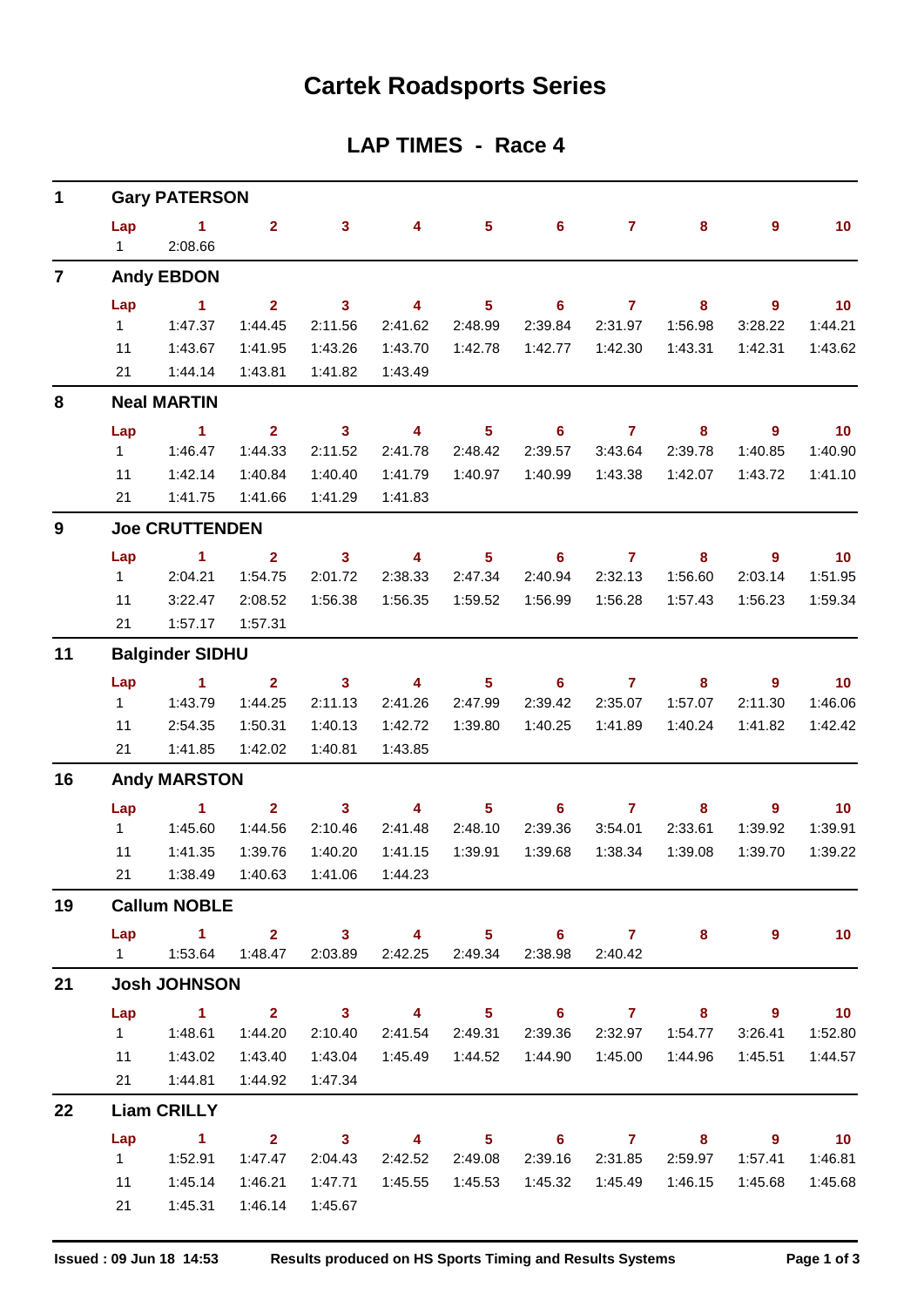## **Cartek Roadsports Series**

## **LAP TIMES - Race 4**

| 1                       |           | <b>Gary PATERSON</b>                                                                         |                |                |                         |                         |                                             |                         |         |                           |                   |
|-------------------------|-----------|----------------------------------------------------------------------------------------------|----------------|----------------|-------------------------|-------------------------|---------------------------------------------|-------------------------|---------|---------------------------|-------------------|
|                         | Lap<br>1  | $\sim$ 1<br>2:08.66                                                                          | $\mathbf{2}$   | 3 <sup>1</sup> | 4                       | 5 <sup>5</sup>          | 6 <sup>1</sup>                              | 7 <sup>7</sup>          | 8       | 9                         | 10 <sub>1</sub>   |
| $\overline{\mathbf{7}}$ |           | <b>Andy EBDON</b>                                                                            |                |                |                         |                         |                                             |                         |         |                           |                   |
|                         | Lap       | $\mathbf{1}$                                                                                 | 2 <sup>1</sup> | $\mathbf{3}$   | $\overline{\mathbf{4}}$ | $5\phantom{1}$          | $6\phantom{1}6$                             | $\overline{7}$          | 8       | 9                         | 10 <sub>1</sub>   |
|                         | 1         | 1:47.37                                                                                      | 1:44.45        | 2:11.56        | 2:41.62                 | 2:48.99                 | 2:39.84                                     | 2:31.97                 | 1:56.98 | 3:28.22                   | 1:44.21           |
|                         | 11        | 1:43.67                                                                                      | 1:41.95        | 1:43.26        | 1:43.70                 | 1:42.78                 | 1:42.77                                     | 1:42.30                 | 1:43.31 | 1:42.31                   | 1:43.62           |
|                         | 21        | 1:44.14                                                                                      | 1:43.81        | 1:41.82        | 1:43.49                 |                         |                                             |                         |         |                           |                   |
| 8                       |           | <b>Neal MARTIN</b>                                                                           |                |                |                         |                         |                                             |                         |         |                           |                   |
|                         | Lap       | $\blacktriangleleft$                                                                         | 2 <sup>1</sup> | 3 <sup>1</sup> | $\overline{4}$          | $5\phantom{1}$          | $6\phantom{1}6$                             | $\mathbf{7}$            | 8       | $\overline{9}$            | 10                |
|                         | 1         | 1:46.47                                                                                      | 1:44.33        | 2:11.52        | 2:41.78                 | 2:48.42                 | 2:39.57                                     | 3:43.64                 | 2:39.78 | 1:40.85                   | 1:40.90           |
|                         | 11        | 1:42.14                                                                                      | 1:40.84        | 1:40.40        | 1:41.79                 | 1:40.97                 | 1:40.99                                     | 1:43.38                 | 1:42.07 | 1:43.72                   | 1:41.10           |
|                         | 21        | 1:41.75                                                                                      | 1:41.66        | 1:41.29        | 1:41.83                 |                         |                                             |                         |         |                           |                   |
| 9                       |           | <b>Joe CRUTTENDEN</b>                                                                        |                |                |                         |                         |                                             |                         |         |                           |                   |
|                         | Lap       | $\blacktriangleleft$                                                                         | $\overline{2}$ | $\mathbf{3}$   | 4                       | 5 <sup>5</sup>          | $\overline{\phantom{0}}$ 6                  | $\overline{7}$          | 8       | 9                         | $\blacksquare$ 10 |
|                         | 1         | 2:04.21                                                                                      | 1:54.75        | 2:01.72        | 2:38.33                 | 2:47.34                 | 2:40.94                                     | 2:32.13                 | 1:56.60 | 2:03.14                   | 1:51.95           |
|                         | 11        | 3:22.47                                                                                      | 2:08.52        | 1:56.38        | 1:56.35                 | 1:59.52                 | 1:56.99                                     | 1:56.28                 | 1:57.43 | 1:56.23                   | 1:59.34           |
|                         | 21        | 1:57.17                                                                                      | 1:57.31        |                |                         |                         |                                             |                         |         |                           |                   |
| 11                      |           | <b>Balginder SIDHU</b>                                                                       |                |                |                         |                         |                                             |                         |         |                           |                   |
|                         | Lap       | $\sim$ $\sim$ 1                                                                              | 2 <sup>1</sup> | 3 <sup>1</sup> | $\overline{4}$          | $5\phantom{.0}$         | $6\phantom{1}$                              | $\overline{7}$          | 8       | 9                         | 10                |
|                         | $1 \quad$ | 1:43.79                                                                                      | 1:44.25        | 2:11.13        | 2:41.26                 | 2:47.99                 | 2:39.42                                     | 2:35.07                 | 1:57.07 | 2:11.30                   | 1:46.06           |
|                         | 11        | 2:54.35                                                                                      | 1:50.31        | 1:40.13        | 1:42.72                 | 1:39.80                 | 1:40.25                                     | 1:41.89                 | 1:40.24 | 1:41.82                   | 1:42.42           |
|                         | 21        | 1:41.85                                                                                      | 1:42.02        | 1:40.81        | 1:43.85                 |                         |                                             |                         |         |                           |                   |
| 16                      |           | <b>Andy MARSTON</b>                                                                          |                |                |                         |                         |                                             |                         |         |                           |                   |
|                         | Lap       | $\blacktriangleleft$                                                                         | $\overline{2}$ | $\mathbf{3}$   | 4                       | $\overline{\mathbf{5}}$ | 6                                           | $\overline{7}$          | 8       | 9                         | 10 <sub>1</sub>   |
|                         | $1 \quad$ | 1:45.60                                                                                      | 1:44.56        | 2:10.46        | 2:41.48                 | 2:48.10                 | 2:39.36                                     | 3:54.01                 | 2:33.61 | 1:39.92                   | 1:39.91           |
|                         | 11        | 1:41.35                                                                                      | 1:39.76        | 1:40.20        | 1:41.15                 | 1:39.91                 | 1:39.68                                     | 1:38.34                 | 1:39.08 | 1:39.70                   | 1:39.22           |
| 19                      |           | 21   1:38.49   1:40.63   1:41.06   1:44.23<br><b>Callum NOBLE</b>                            |                |                |                         |                         |                                             |                         |         |                           |                   |
|                         |           |                                                                                              |                |                |                         |                         |                                             |                         |         |                           |                   |
|                         |           | Lap 1 2 3 4 5 6 7<br>1   1:53.64   1:48.47   2:03.89   2:42.25   2:49.34   2:38.98   2:40.42 |                |                |                         |                         |                                             |                         |         | $\overline{9}$<br>$8 - 1$ | $\blacksquare$ 10 |
| 21                      |           | <b>Josh JOHNSON</b>                                                                          |                |                |                         |                         |                                             |                         |         |                           |                   |
|                         |           | Lap 1 2 3 4 5 6 7 8 9 10                                                                     |                |                |                         |                         |                                             |                         |         |                           |                   |
|                         |           | 1   1:48.61   1:44.20                                                                        |                | 2:10.40        |                         |                         | 2:41.54  2:49.31  2:39.36  2:32.97  1:54.77 |                         |         |                           | 3:26.41  1:52.80  |
|                         |           | 11   1:43.02                                                                                 | 1:43.40        | 1:43.04        |                         |                         | 1:45.49  1:44.52  1:44.90  1:45.00  1:44.96 |                         |         | 1:45.51                   | 1:44.57           |
|                         |           | 21   1:44.81   1:44.92   1:47.34                                                             |                |                |                         |                         |                                             |                         |         |                           |                   |
| 22                      |           | <b>Liam CRILLY</b>                                                                           |                |                |                         |                         |                                             |                         |         |                           |                   |
|                         | Lap       | $\sim$ 1.10 $\pm$                                                                            |                |                |                         |                         | 2 3 4 5 6 7 8 9 10                          |                         |         |                           |                   |
|                         |           |                                                                                              | 1:47.47        | 2:04.43        |                         | 2:42.52 2:49.08         |                                             | 2:39.16 2:31.85 2:59.97 |         | 1:57.41                   | 1:46.81           |
|                         |           | 11  1:45.14                                                                                  | 1:46.21        | 1:47.71        |                         |                         |                                             |                         |         | 1:45.68                   | 1:45.68           |
|                         |           | 21   1:45.31                                                                                 | 1:46.14        | 1:45.67        |                         |                         |                                             |                         |         |                           |                   |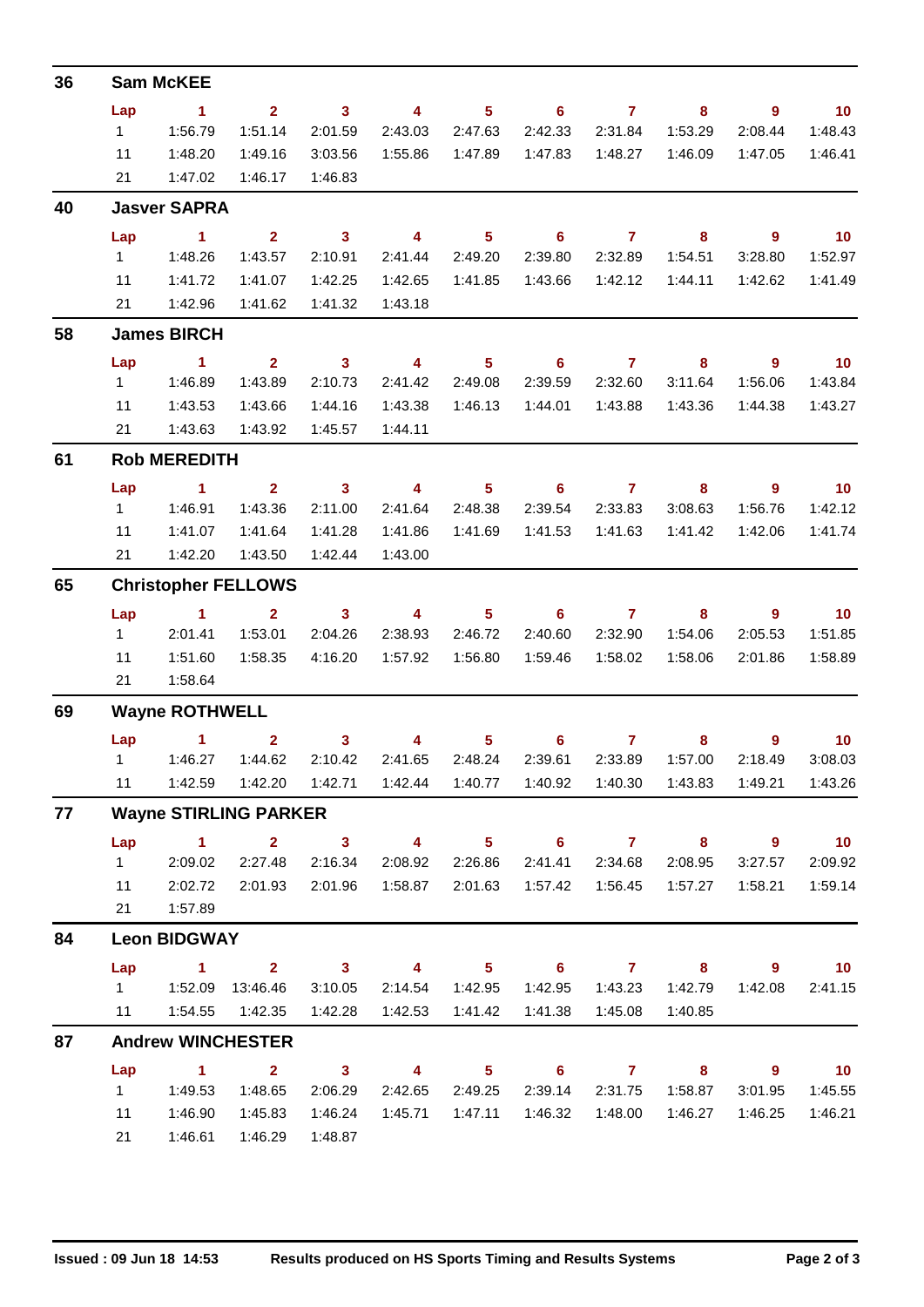| 36 | <b>Sam McKEE</b>             |                |                         |                         |                                                      |                  |                            |                     |         |                         |                             |
|----|------------------------------|----------------|-------------------------|-------------------------|------------------------------------------------------|------------------|----------------------------|---------------------|---------|-------------------------|-----------------------------|
|    | Lap                          | $\sim$ 1       | 2 <sup>7</sup>          | $\sim$ 3                | $\overline{\mathbf{4}}$                              | 5 <sub>5</sub>   | $\overline{\phantom{a}}$ 6 | $\overline{7}$      | 8       | 9                       | $\overline{10}$             |
|    | $1 \quad$                    | 1:56.79        | 1:51.14                 | 2:01.59                 | 2:43.03                                              | 2:47.63          | 2:42.33                    | 2:31.84             | 1:53.29 | 2:08.44                 | 1:48.43                     |
|    | 11                           | 1:48.20        | 1:49.16                 | 3:03.56                 | 1:55.86                                              | 1:47.89          | 1:47.83                    | 1:48.27             | 1:46.09 | 1:47.05                 | 1:46.41                     |
|    | 21                           | 1:47.02        | 1:46.17                 | 1:46.83                 |                                                      |                  |                            |                     |         |                         |                             |
| 40 | <b>Jasver SAPRA</b>          |                |                         |                         |                                                      |                  |                            |                     |         |                         |                             |
|    | Lap                          | $\sim$ 1       | $\overline{\mathbf{2}}$ | $\overline{\mathbf{3}}$ | $\overline{\mathbf{4}}$                              | 5 <sup>1</sup>   | $\overline{\phantom{a}}$ 6 | $\overline{7}$      | 8       | $9^{\circ}$             | $\overline{10}$             |
|    | $1 \quad$                    | 1:48.26        | 1:43.57                 | 2:10.91                 | 2:41.44                                              | 2:49.20          | 2:39.80                    | 2:32.89             | 1:54.51 | 3:28.80                 | 1:52.97                     |
|    | 11                           | 1:41.72        | 1:41.07                 | 1:42.25                 | 1:42.65                                              | 1:41.85          | 1:43.66                    | 1:42.12             | 1:44.11 | 1:42.62                 | 1:41.49                     |
|    | 21                           | 1:42.96        | 1:41.62                 | 1:41.32                 | 1:43.18                                              |                  |                            |                     |         |                         |                             |
| 58 | <b>James BIRCH</b>           |                |                         |                         |                                                      |                  |                            |                     |         |                         |                             |
|    | Lap                          | $\blacksquare$ | $\overline{2}$          | $\overline{\mathbf{3}}$ | $\overline{4}$                                       | 5 <sup>5</sup>   | 6                          | $\overline{7}$      | 8       | 9                       | $\overline{10}$             |
|    | $1 \quad$                    | 1:46.89        | 1:43.89                 | 2:10.73                 | 2:41.42                                              | 2:49.08          | 2:39.59                    | 2:32.60             | 3:11.64 | 1:56.06                 | 1:43.84                     |
|    | 11                           | 1:43.53        | 1:43.66                 | 1:44.16                 | 1:43.38                                              | 1:46.13          | 1:44.01                    | 1:43.88             | 1:43.36 | 1:44.38                 | 1:43.27                     |
|    | 21                           | 1:43.63        | 1:43.92                 | 1:45.57                 | 1:44.11                                              |                  |                            |                     |         |                         |                             |
| 61 | <b>Rob MEREDITH</b>          |                |                         |                         |                                                      |                  |                            |                     |         |                         |                             |
|    | Lap                          | $\sim$ 1       | $2^{\circ}$             | $\overline{\mathbf{3}}$ | $\overline{4}$                                       | 5 <sub>5</sub>   |                            | $6 \qquad \qquad 7$ | 8       | $\overline{\mathbf{9}}$ | $\overline{\phantom{0}}$ 10 |
|    | $1 \quad$                    | 1:46.91        | 1:43.36                 | 2:11.00                 | 2:41.64                                              | 2:48.38          | 2:39.54                    | 2:33.83             | 3:08.63 | 1:56.76                 | 1:42.12                     |
|    | 11                           | 1:41.07        | 1:41.64                 | 1:41.28                 | 1:41.86                                              | 1:41.69          | 1:41.53                    | 1:41.63             | 1:41.42 | 1:42.06                 | 1:41.74                     |
|    | 21                           | 1:42.20        | 1:43.50                 | 1:42.44                 | 1:43.00                                              |                  |                            |                     |         |                         |                             |
| 65 | <b>Christopher FELLOWS</b>   |                |                         |                         |                                                      |                  |                            |                     |         |                         |                             |
|    | Lap                          | $\sim$ 1       | $\sim$ 2                | $\overline{\mathbf{3}}$ | $\overline{4}$                                       | 5 <sub>5</sub>   | $\overline{\phantom{0}}$ 6 | $\overline{7}$      | 8       | 9                       | $\blacksquare$ 10           |
|    | $1 \quad$                    | 2:01.41        | 1:53.01                 | 2:04.26                 | 2:38.93                                              | 2:46.72          | 2:40.60                    | 2:32.90             | 1:54.06 | 2:05.53                 | 1:51.85                     |
|    | 11                           | 1:51.60        | 1:58.35                 | 4:16.20                 | 1:57.92                                              | 1:56.80          | 1:59.46                    | 1:58.02             | 1:58.06 | 2:01.86                 | 1:58.89                     |
|    | 21                           | 1:58.64        |                         |                         |                                                      |                  |                            |                     |         |                         |                             |
| 69 | <b>Wayne ROTHWELL</b>        |                |                         |                         |                                                      |                  |                            |                     |         |                         |                             |
|    |                              | Lap $1$ 2      |                         | 3 <sup>7</sup>          | $\overline{4}$                                       | 5 <sub>1</sub>   | $\overline{\phantom{0}}$ 6 | $\overline{7}$      | 8       | 9                       | 10                          |
|    |                              | 1.46.27        | 1:44.62                 | 2:10.42                 | 2:41.65                                              | 2:48.24          | 2:39.61                    | 2:33.89             | 1:57.00 | 2:18.49                 | 3:08.03                     |
|    | 11                           | 1:42.59        |                         |                         | 1:42.20  1:42.71  1:42.44  1:40.77  1:40.92  1:40.30 |                  |                            |                     | 1:43.83 | 1:49.21                 | 1:43.26                     |
| 77 | <b>Wayne STIRLING PARKER</b> |                |                         |                         |                                                      |                  |                            |                     |         |                         |                             |
|    | Lap                          | $\sim$ 1       | 2 <sup>7</sup>          | $\sim$ 3                | $\overline{4}$                                       | 5 <sup>1</sup>   | $\overline{\phantom{0}}$ 6 | $\overline{7}$      | 8       | $9^{\circ}$             | $\overline{10}$             |
|    | $1 \quad$                    | 2:09.02        | 2:27.48                 | 2:16.34                 | 2:08.92                                              | 2:26.86          | 2:41.41                    | 2:34.68             | 2:08.95 | 3:27.57                 | 2:09.92                     |
|    | 11                           | 2:02.72        | 2:01.93                 | 2:01.96                 | 1:58.87                                              | 2:01.63          | 1:57.42                    | 1:56.45             | 1:57.27 | 1:58.21                 | 1:59.14                     |
|    | 21                           | 1:57.89        |                         |                         |                                                      |                  |                            |                     |         |                         |                             |
| 84 | <b>Leon BIDGWAY</b>          |                |                         |                         |                                                      |                  |                            |                     |         |                         |                             |
|    | Lap                          | $\sim$ 1       | $\overline{2}$          | $\overline{\mathbf{3}}$ | $\overline{\mathbf{4}}$                              | $5 -$            | $\overline{\phantom{a}}$ 6 | $\overline{7}$      | 8       | $9^{\circ}$             | 10 <sub>1</sub>             |
|    |                              |                |                         | 3:10.05                 |                                                      | 2:14.54  1:42.95 | 1:42.95                    | 1:43.23             | 1:42.79 | 1:42.08                 | 2:41.15                     |
|    | 11                           | 1:54.55        | 1:42.35                 | 1:42.28                 | 1:42.53                                              | 1:41.42          | 1:41.38                    | 1:45.08             | 1:40.85 |                         |                             |
| 87 | <b>Andrew WINCHESTER</b>     |                |                         |                         |                                                      |                  |                            |                     |         |                         |                             |
|    | Lap                          | $\sim$ 1       | $2^{\circ}$             | $\overline{\mathbf{3}}$ | $\sim$ 4                                             | $5 -$            |                            | 6 7                 | 8       | $9^{\circ}$             | 10                          |
|    | $1 \quad$                    | 1:49.53        | 1:48.65                 | 2:06.29                 | 2:42.65                                              | 2:49.25          | 2:39.14                    | 2:31.75             | 1:58.87 | 3:01.95                 | 1:45.55                     |
|    | 11                           | 1:46.90        | 1:45.83                 | 1:46.24                 |                                                      |                  | 1:46.32                    | 1:48.00             | 1:46.27 | 1:46.25                 | 1:46.21                     |
|    | 21                           |                | 1:46.61  1:46.29        | 1:48.87                 |                                                      |                  |                            |                     |         |                         |                             |